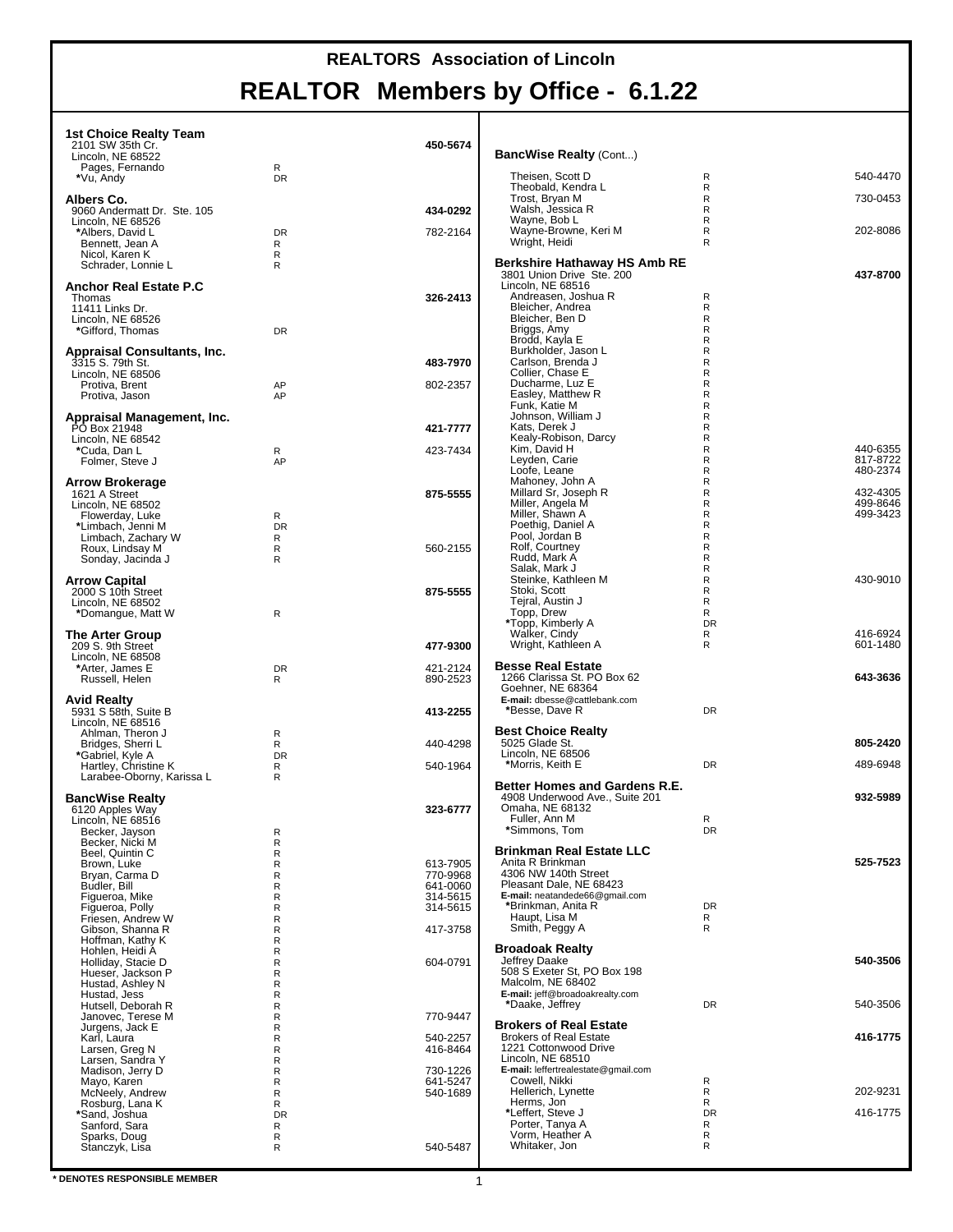| 1st Choice Realty Team<br>2101 SW 35th Cr.                      |                                | 450-5674                         |                                                                                 |                     |                      |
|-----------------------------------------------------------------|--------------------------------|----------------------------------|---------------------------------------------------------------------------------|---------------------|----------------------|
| Lincoln, NE 68522<br>Pages, Fernando<br>*Vu, Andy               | R<br><b>DR</b>                 |                                  | <b>BancWise Realty (Cont)</b><br>Theisen, Scott D                               | R                   | 540-4470             |
| Albers Co.                                                      |                                |                                  | Theobald, Kendra L<br>Trost, Bryan M                                            | R<br>R.             | 730-0453             |
| 9060 Andermatt Dr. Ste. 105<br>Lincoln, NE 68526                |                                | 434-0292                         | Walsh, Jessica R<br>Wayne, Bob L                                                | R<br>R              |                      |
| *Albers, David L<br>Bennett, Jean A                             | <b>DR</b><br>R                 | 782-2164                         | Wayne-Browne, Keri M<br>Wright, Heidi                                           | R<br>R              | 202-8086             |
| Nicol, Karen K<br>Schrader, Lonnie L                            | R<br>R                         |                                  | Berkshire Hathaway HS Amb RE<br>3801 Union Drive Ste. 200                       |                     | 437-8700             |
| <b>Anchor Real Estate P.C.</b><br>Thomas                        |                                | 326-2413                         | Lincoln, NE 68516<br>Andreasen, Joshua R                                        | R                   |                      |
| 11411 Links Dr.<br>Lincoln, NE 68526                            |                                |                                  | Bleicher, Andrea<br>Bleicher, Ben D                                             | R<br>R<br>R.        |                      |
| *Gifford, Thomas<br><b>Appraisal Consultants, Inc.</b>          | <b>DR</b>                      |                                  | Briggs, Amy<br>Brodd, Kayla E<br>Burkholder, Jason L                            | R<br>R              |                      |
| 3315 S. 79th St.<br>Lincoln, NE 68506                           |                                | 483-7970                         | Carlson, Brenda J<br>Collier, Chase E                                           | R.<br>R             |                      |
| Protiva, Brent<br>Protiva, Jason                                | AP<br>AP                       | 802-2357                         | Ducharme, Luz E<br>Easley, Matthew R                                            | R<br>R              |                      |
| Appraisal Management, Inc.<br>PO Box 21948                      |                                | 421-7777                         | Funk, Katie M<br>Johnson, William J<br>Kats, Derek J                            | R<br>R<br>R         |                      |
| Lincoln, NE 68542<br>*Cuda, Dan L                               | R                              | 423-7434                         | Kealy-Robison, Darcy<br>Kim, David H                                            | R<br>R              | 440-6355             |
| Folmer, Steve J                                                 | AP                             |                                  | Levden. Carie<br>Loofe, Leane                                                   | R<br>R              | 817-8722<br>480-2374 |
| <b>Arrow Brokerage</b><br>1621 A Street                         |                                | 875-5555                         | Mahoney, John A<br>Millard Sr, Joseph R<br>Miller, Angela M                     | R<br>R.<br>R        | 432-4305<br>499-8646 |
| Lincoln, NE 68502<br>Flowerday, Luke<br>*Limbach, Jenni M       | R<br><b>DR</b>                 |                                  | Miller, Shawn A<br>Poethig, Daniel A                                            | R<br>R              | 499-3423             |
| Limbach, Zachary W<br>Roux, Lindsay M                           | R<br>R                         | 560-2155                         | Pool, Jordan B<br>Rolf, Courtney                                                | R<br>R              |                      |
| Sonday, Jacinda J                                               | R                              |                                  | Rudd, Mark A<br>Salak, Mark J                                                   | R.<br>R             |                      |
| <b>Arrow Capital</b><br>2000 S 10th Street<br>Lincoln, NE 68502 |                                | 875-5555                         | Steinke, Kathleen M<br>Stoki, Scott<br>Tejral, Austin J                         | R<br>R<br>R         | 430-9010             |
| *Domangue, Matt W                                               | R                              |                                  | Topp, Drew<br>*Topp, Kimberly A                                                 | R<br><b>DR</b>      |                      |
| <b>The Arter Group</b><br>209 S. 9th Street                     |                                | 477-9300                         | Walker, Cindy<br>Wright, Kathleen A                                             | R<br>R              | 416-6924<br>601-1480 |
| Lincoln, NE 68508<br>*Arter, James E<br>Russell, Helen          | <b>DR</b><br>R                 | 421-2124<br>890-2523             | <b>Besse Real Estate</b><br>1266 Clarissa St. PO Box 62                         |                     | 643-3636             |
| <b>Avid Realty</b>                                              |                                |                                  | Goehner, NE 68364<br>E-mail: dbesse@cattlebank.com                              |                     |                      |
| 5931 S 58th, Suite B<br>Lincoln, NE 68516                       |                                | 413-2255                         | *Besse, Dave R                                                                  | <b>DR</b>           |                      |
| Ahlman, Theron J<br>Bridges, Sherri L<br>*Gabriel, Kyle A       | R<br>R<br>DR                   | 440-4298                         | <b>Best Choice Realty</b><br>5025 Glade St.<br>Lincoln, NE 68506                |                     | 805-2420             |
| Hartley, Christine K<br>Larabee-Oborny, Karissa L               | R<br>R                         | 540-1964                         | *Morris, Keith E                                                                | <b>DR</b>           | 489-6948             |
| <b>BancWise Realty</b>                                          |                                |                                  | Better Homes and Gardens R.E.<br>4908 Underwood Ave., Suite 201                 |                     | 932-5989             |
| 6120 Apples Way<br>Lincoln, NE 68516<br>Becker, Jayson          | R                              | 323-6777                         | Omaha, NE 68132<br>Fuller, Ann M<br>*Simmons, Tom                               | R<br>DR             |                      |
| Becker, Nicki M<br>Beel, Quintin C                              | $\mathsf R$<br>$\mathsf R$     |                                  | <b>Brinkman Real Estate LLC</b>                                                 |                     |                      |
| Brown, Luke<br>Bryan, Carma D                                   | $\mathsf{R}$<br>$\mathsf{R}$   | 613-7905<br>770-9968             | Anita R Brinkman<br>4306 NW 140th Street                                        |                     | 525-7523             |
| Budler, Bill<br>Figueroa, Mike<br>Figueroa, Polly               | R<br>${\sf R}$<br>$\mathsf{R}$ | 641-0060<br>314-5615<br>314-5615 | Pleasant Dale, NE 68423<br>E-mail: neatandede66@gmail.com<br>*Brinkman, Anita R | DR                  |                      |
| Friesen, Andrew W<br>Gibson, Shanna R                           | R<br>${\sf R}$                 | 417-3758                         | Haupt, Lisa M<br>Smith, Peggy A                                                 | R<br>R              |                      |
| Hoffman, Kathy K<br>Hohlen, Heidi A                             | $\mathsf{R}$<br>$\mathsf R$    |                                  | <b>Broadoak Realty</b>                                                          |                     |                      |
| Holliday, Stacie D<br>Hueser, Jackson P<br>Hustad, Ashley N     | ${\sf R}$<br>$\mathsf R$<br>R  | 604-0791                         | Jeffrey Daake<br>508 S Exeter St, PO Box 198<br>Malcolm, NE 68402               |                     | 540-3506             |
| Hustad, Jess<br>Hutsell, Deborah R                              | $\mathsf R$<br>$\mathsf R$     |                                  | E-mail: jeff@broadoakrealty.com<br>*Daake, Jeffrey                              | <b>DR</b>           | 540-3506             |
| Janovec, Terese M<br>Jurgens, Jack E                            | $\mathsf R$<br>${\sf R}$       | 770-9447                         | Brokers of Real Estate                                                          |                     |                      |
| Karl, Laura<br>Larsen, Greg N<br>Larsen, Sandra Y               | $\mathsf{R}$<br>R<br>R         | 540-2257<br>416-8464             | <b>Brokers of Real Estate</b><br>1221 Cottonwood Drive<br>Lincoln, NE 68510     |                     | 416-1775             |
| Madison, Jerry D<br>Mayo, Karen                                 | $\mathsf{R}$<br>R              | 730-1226<br>641-5247             | E-mail: leffertrealestate@gmail.com<br>Cowell, Nikki                            | R                   |                      |
| McNeely, Andrew<br>Rosburg, Lana K                              | ${\sf R}$<br>R                 | 540-1689                         | Hellerich, Lynette<br>Herms, Jon                                                | R<br>R              | 202-9231             |
| *Sand, Joshua<br>Sanford, Sara                                  | DR<br>R                        |                                  | *Leffert, Steve J<br>Porter, Tanya A<br>Vorm, Heather A                         | <b>DR</b><br>R<br>R | 416-1775             |
| Sparks, Doug<br>Stanczyk, Lisa                                  | R<br>R                         | 540-5487                         | Whitaker, Jon                                                                   | R                   |                      |
|                                                                 |                                |                                  |                                                                                 |                     |                      |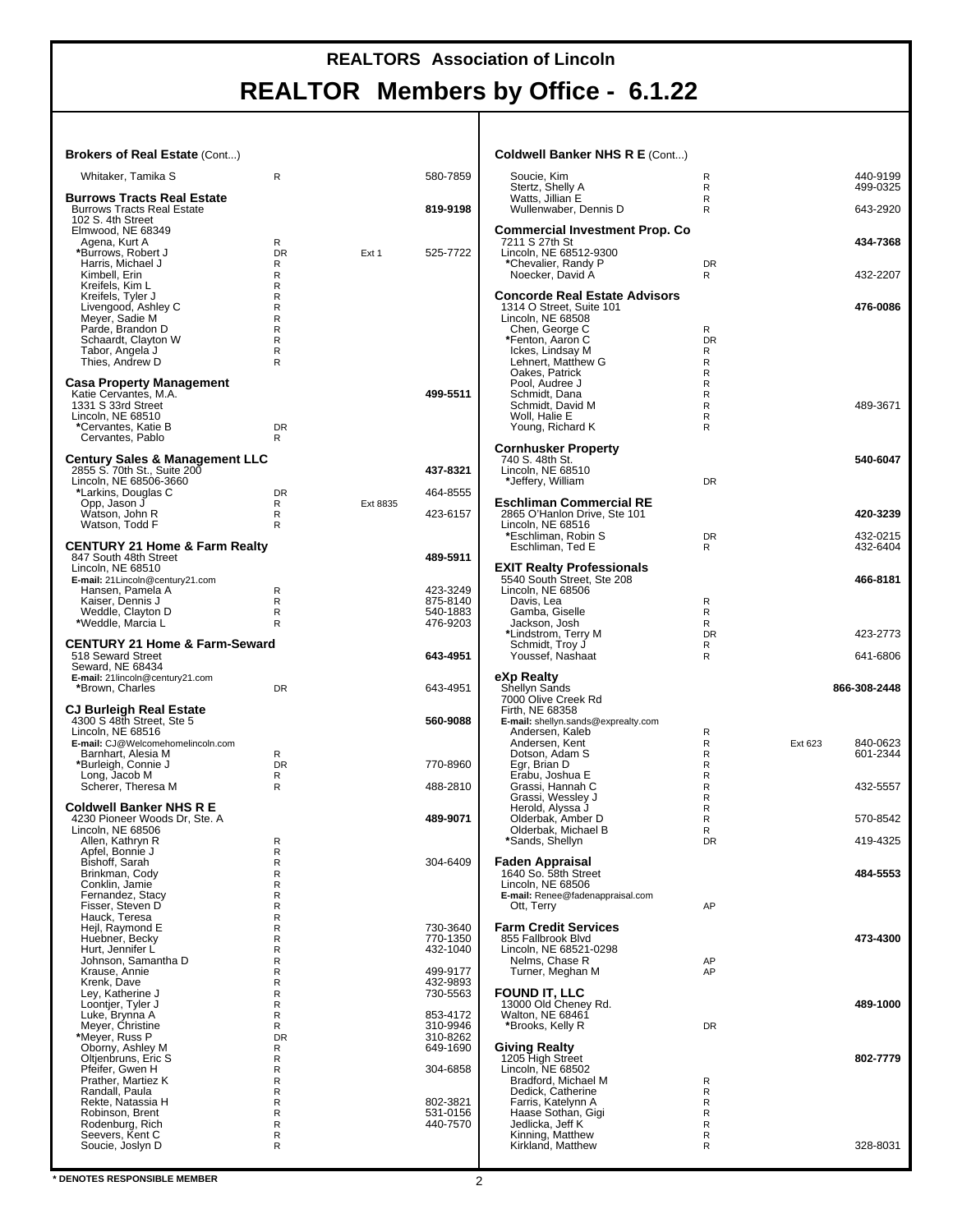#### **REALTORS Association of Lincoln**

## **REALTOR Members by Office - 6.1.22**

| <b>Brokers of Real Estate (Cont)</b>                                                                                                           |                                 |          |                                              | <b>Coldwell Banker NHS R E (Cont)</b>                                                                                                           |                                    |         |                      |
|------------------------------------------------------------------------------------------------------------------------------------------------|---------------------------------|----------|----------------------------------------------|-------------------------------------------------------------------------------------------------------------------------------------------------|------------------------------------|---------|----------------------|
| Whitaker, Tamika S                                                                                                                             | R                               |          | 580-7859                                     | Soucie, Kim<br>Stertz, Shelly A                                                                                                                 | $\mathsf{R}$<br>R                  |         | 440-9199<br>499-0325 |
| <b>Burrows Tracts Real Estate</b><br><b>Burrows Tracts Real Estate</b><br>102 S. 4th Street                                                    |                                 |          | 819-9198                                     | Watts, Jillian E<br>Wullenwaber, Dennis D                                                                                                       | R<br>R                             |         | 643-2920             |
| Elmwood, NE 68349<br>Agena, Kurt A<br>*Burrows, Robert J<br>Harris, Michael J                                                                  | R<br><b>DR</b><br>R             | Ext 1    | 525-7722                                     | <b>Commercial Investment Prop. Co</b><br>7211 S 27th St<br>Lincoln, NE 68512-9300<br>*Chevalier, Randy P                                        | <b>DR</b>                          |         | 434-7368             |
| Kimbell, Erin<br>Kreifels, Kim L                                                                                                               | R<br>R                          |          |                                              | Noecker, David A<br><b>Concorde Real Estate Advisors</b>                                                                                        | R.                                 |         | 432-2207             |
| Kreifels, Tyler J<br>Livengood, Ashley C<br>Meyer, Sadie M<br>Parde, Brandon D<br>Schaardt, Clayton W<br>Tabor, Angela J<br>Thies, Andrew D    | R<br>R<br>R<br>R<br>R<br>R<br>R |          |                                              | 1314 O Street, Suite 101<br>Lincoln, NE 68508<br>Chen, George C<br>*Fenton, Aaron C<br>Ickes, Lindsay M<br>Lehnert, Matthew G<br>Oakes, Patrick | R<br><b>DR</b><br>R<br>R<br>R      |         | 476-0086             |
| <b>Casa Property Management</b><br>Katie Cervantes, M.A.<br>1331 S 33rd Street<br>Lincoln, NE 68510<br>*Cervantes, Katie B<br>Cervantes, Pablo | <b>DR</b><br>R                  |          | 499-5511                                     | Pool, Audree J<br>Schmidt, Dana<br>Schmidt, David M<br>Woll, Halie E<br>Young, Richard K                                                        | R<br>R<br>R<br>R<br>R              |         | 489-3671             |
| <b>Century Sales &amp; Management LLC</b><br>2855 S. 70th St., Suite 200<br>Lincoln, NE 68506-3660<br>*Larkins, Douglas C                      | <b>DR</b>                       |          | 437-8321<br>464-8555                         | <b>Cornhusker Property</b><br>740 S. 48th St.<br>Lincoln, NE 68510<br>*Jeffery, William                                                         | <b>DR</b>                          |         | 540-6047             |
| Opp, Jason J<br>Watson, John R<br>Watson, Todd F                                                                                               | R<br>R<br>R                     | Ext 8835 | 423-6157                                     | <b>Eschliman Commercial RE</b><br>2865 O'Hanlon Drive, Ste 101<br>Lincoln. NE 68516                                                             |                                    |         | 420-3239             |
| <b>CENTURY 21 Home &amp; Farm Realty</b><br>847 South 48th Street                                                                              |                                 |          | 489-5911                                     | *Eschliman, Robin S<br>Eschliman, Ted E                                                                                                         | DR<br>R                            |         | 432-0215<br>432-6404 |
| Lincoln, NE 68510<br>E-mail: 21Lincoln@century21.com<br>Hansen, Pamela A<br>Kaiser, Dennis J                                                   | R<br>R                          |          | 423-3249<br>875-8140                         | <b>EXIT Realty Professionals</b><br>5540 South Street, Ste 208<br>Lincoln, NE 68506<br>Davis, Lea                                               | R                                  |         | 466-8181             |
| Weddle, Clayton D<br>*Weddle, Marcia L                                                                                                         | R<br>R                          |          | 540-1883<br>476-9203                         | Gamba, Giselle<br>Jackson, Josh<br>*Lindstrom, Terry M                                                                                          | R<br>R<br><b>DR</b>                |         | 423-2773             |
| <b>CENTURY 21 Home &amp; Farm-Seward</b><br>518 Seward Street<br>Seward, NE 68434                                                              |                                 |          | 643-4951                                     | Schmidt, Troy J<br>Youssef, Nashaat                                                                                                             | R<br>R                             |         | 641-6806             |
| E-mail: 21lincoln@century21.com<br>*Brown, Charles<br>CJ Burleigh Real Estate                                                                  | <b>DR</b>                       |          | 643-4951                                     | eXp Realty<br>Shellyn Sands<br>7000 Olive Creek Rd<br>Firth, NE 68358                                                                           |                                    |         | 866-308-2448         |
| 4300 S 48th Street, Ste 5<br>Lincoln, NE 68516                                                                                                 |                                 |          | 560-9088                                     | E-mail: shellyn.sands@exprealty.com<br>Andersen, Kaleb                                                                                          | R                                  |         |                      |
| E-mail: CJ@Welcomehomelincoln.com<br>Barnhart, Alesia M<br>*Burleigh, Connie J<br>Long, Jacob M                                                | R<br><b>DR</b><br>R             |          | 770-8960                                     | Andersen, Kent<br>Dotson, Adam S<br>Egr, Brian D<br>Erabu, Joshua E                                                                             | R<br>R<br>R<br>R                   | Ext 623 | 840-0623<br>601-2344 |
| Scherer, Theresa M<br><b>Coldwell Banker NHS R E</b>                                                                                           | R                               |          | 488-2810                                     | Grassi, Hannah C<br>Grassi, Wessley J<br>Herold, Alyssa J                                                                                       | R<br>R<br>R                        |         | 432-5557             |
| 4230 Pioneer Woods Dr, Ste. A<br>Lincoln, NE 68506<br>Allen, Kathryn R                                                                         | R                               |          | 489-9071                                     | Olderbak, Amber D<br>Olderbak, Michael B<br>*Sands, Shellyn                                                                                     | $\mathsf{R}$<br>$\mathsf{R}$<br>DR |         | 570-8542<br>419-4325 |
| Apfel, Bonnie J<br>Bishoff, Sarah<br>Brinkman, Cody<br>Conklin, Jamie                                                                          | R<br>R<br>R<br>R                |          | 304-6409                                     | Faden Appraisal<br>1640 So. 58th Street<br>Lincoln, NE 68506                                                                                    |                                    |         | 484-5553             |
| Fernandez, Stacy<br>Fisser, Steven D<br>Hauck, Teresa<br>Heil, Raymond E                                                                       | R<br>R<br>R<br>R                |          | 730-3640                                     | E-mail: Renee@fadenappraisal.com<br>Ott, Terry<br><b>Farm Credit Services</b>                                                                   | AP                                 |         |                      |
| Huebner, Becky<br>Hurt, Jennifer L<br>Johnson, Samantha D<br>Krause, Annie<br>Krenk, Dave                                                      | R<br>R<br>R<br>R<br>R           |          | 770-1350<br>432-1040<br>499-9177<br>432-9893 | 855 Fallbrook Blvd<br>Lincoln, NE 68521-0298<br>Nelms, Chase R<br>Turner, Meghan M                                                              | AP<br>AP                           |         | 473-4300             |
| Ley, Katherine J<br>Loontjer, Tyler J<br>Luke, Brynna A<br>Meyer, Christine                                                                    | R<br>R<br>R<br>R                |          | 730-5563<br>853-4172<br>310-9946             | <b>FOUND IT, LLC</b><br>13000 Old Cheney Rd.<br>Walton, NE 68461<br>*Brooks, Kelly R                                                            | DR                                 |         | 489-1000             |
| *Meyer, Russ P<br>Oborny, Ashley M<br>Oltjenbruns, Eric S<br>Pfeifer, Gwen H<br>Prather, Martiez K                                             | <b>DR</b><br>R<br>R<br>R<br>R   |          | 310-8262<br>649-1690<br>304-6858             | <b>Giving Realty</b><br>1205 High Street<br>Lincoln, NE 68502<br>Bradford, Michael M                                                            | R                                  |         | 802-7779             |
| Randall, Paula<br>Rekte, Natassia H                                                                                                            |                                 |          |                                              | Dedick, Catherine                                                                                                                               | R                                  |         |                      |
| Robinson, Brent<br>Rodenburg, Rich                                                                                                             | R<br>R<br>R<br>R                |          | 802-3821<br>531-0156<br>440-7570             | Farris, Katelynn A<br>Haase Sothan, Gigi<br>Jedlicka, Jeff K                                                                                    | R<br>R<br>R                        |         |                      |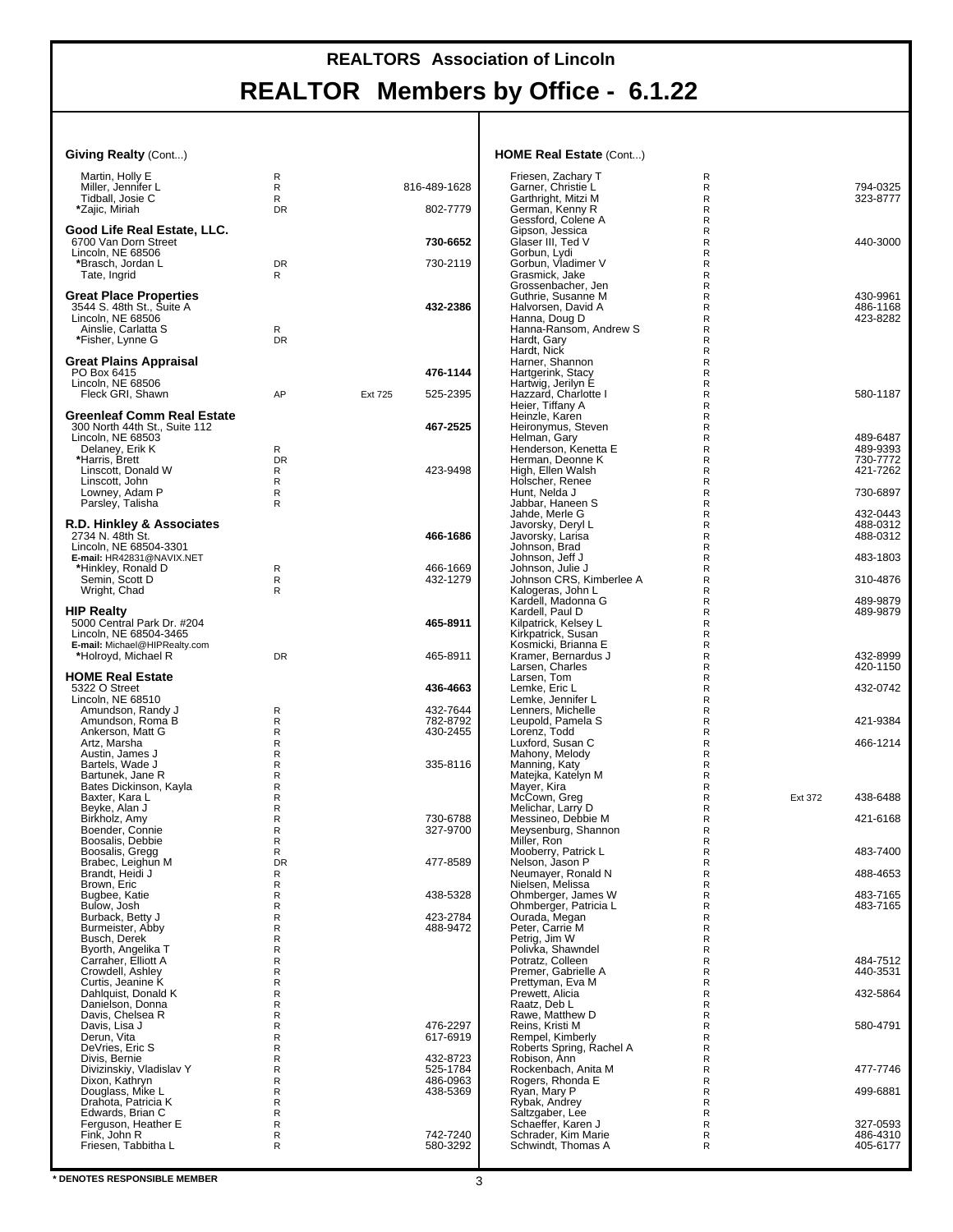#### **Giving Realty** (Cont...)

| Martin, Holly E                            | R         |         |                      | Friesen, Z                                                                                                                                    |
|--------------------------------------------|-----------|---------|----------------------|-----------------------------------------------------------------------------------------------------------------------------------------------|
| Miller, Jennifer L                         | R         |         | 816-489-1628         | Garner, C                                                                                                                                     |
| Tidball, Josie C                           | R         |         |                      | Garthright                                                                                                                                    |
| *Zajic, Miriah                             | <b>DR</b> |         | 802-7779             | German, I                                                                                                                                     |
|                                            |           |         |                      | Gessford,                                                                                                                                     |
| Good Life Real Estate, LLC.                |           |         |                      | ∖Gipson, J                                                                                                                                    |
| 6700 Van Dorn Street                       |           |         | 730-6652             | Glaser III,                                                                                                                                   |
| Lincoln, NE 68506<br>*Brasch, Jordan L     | <b>DR</b> |         | 730-2119             | Gorbun, L<br>Gorbun, V                                                                                                                        |
| Tate, Ingrid                               | R         |         |                      | <b>Grasmick</b>                                                                                                                               |
|                                            |           |         |                      | Grossenb                                                                                                                                      |
| <b>Great Place Properties</b>              |           |         |                      | Guthrie, S                                                                                                                                    |
| 3544 S. 48th St., Suite A                  |           |         | 432-2386             | Halvorser                                                                                                                                     |
| Lincoln, NE 68506                          |           |         |                      | Hanna, D                                                                                                                                      |
| Ainslie, Carlatta S                        | R         |         |                      | Hanna-Ra                                                                                                                                      |
| *Fisher, Lynne G                           | <b>DR</b> |         |                      | Hardt, Ga                                                                                                                                     |
|                                            |           |         |                      | Hardt, Nic                                                                                                                                    |
| Great Plains Appraisal                     |           |         |                      | Harner, S                                                                                                                                     |
| PO Box 6415                                |           |         | 476-1144             | Hartgerinl                                                                                                                                    |
| Lincoln, NE 68506<br>Fleck GRI, Shawn      | AP        | Ext 725 | 525-2395             | Hartwig, J<br>Hazzard,                                                                                                                        |
|                                            |           |         |                      | Heier, Tiff                                                                                                                                   |
| <b>Greenleaf Comm Real Estate</b>          |           |         |                      | Heinzle, k                                                                                                                                    |
| 300 North 44th St., Suite 112              |           |         | 467-2525             | Heironym                                                                                                                                      |
| Lincoln, NE 68503                          |           |         |                      | Helman, Q                                                                                                                                     |
| Delaney, Erik K                            | R         |         |                      | Henderso                                                                                                                                      |
| *Harris, Brett                             | <b>DR</b> |         |                      | Herman, I                                                                                                                                     |
| Linscott, Donald W                         | R         |         | 423-9498             | High, Elle                                                                                                                                    |
| Linscott, John                             | R         |         |                      | Holscher,                                                                                                                                     |
| Lowney, Adam P                             | R         |         |                      | Hunt, Nel                                                                                                                                     |
| Parsley, Talisha                           | R         |         |                      | Jabbar, H                                                                                                                                     |
|                                            |           |         |                      | Jahde, Me                                                                                                                                     |
| R.D. Hinkley & Associates                  |           |         |                      | Javorsky,                                                                                                                                     |
| 2734 N. 48th St.<br>Lincoln, NE 68504-3301 |           |         | 466-1686             | Javorsky,<br>Johnson,                                                                                                                         |
| E-mail: HR42831@NAVIX.NET                  |           |         |                      | Johnson.                                                                                                                                      |
| *Hinkley, Ronald D                         | R         |         | 466-1669             | Johnson,                                                                                                                                      |
| Semin, Scott D                             | R         |         | 432-1279             | Johnson (                                                                                                                                     |
| Wright, Chad                               | R         |         |                      | Kalogeras                                                                                                                                     |
|                                            |           |         |                      | Kardell, M                                                                                                                                    |
| <b>HIP Realty</b>                          |           |         |                      | Kardell, P                                                                                                                                    |
| 5000 Central Park Dr. #204                 |           |         | 465-8911             | Kilpatrick,                                                                                                                                   |
| Lincoln, NE 68504-3465                     |           |         |                      | Kirkpatricl                                                                                                                                   |
| E-mail: Michael@HIPRealty.com              |           |         |                      | Kosmicki,                                                                                                                                     |
| *Holroyd, Michael R                        | <b>DR</b> |         | 465-8911             | Kramer, B                                                                                                                                     |
| <b>HOME Real Estate</b>                    |           |         |                      | Larsen, C                                                                                                                                     |
| 5322 O Street                              |           |         | 436-4663             | Larsen, T<br>Lemke, Ei                                                                                                                        |
| Lincoln, NE 68510                          |           |         |                      | Lemke, Je                                                                                                                                     |
|                                            |           |         | 432-7644             | Lenners, I                                                                                                                                    |
|                                            |           |         |                      |                                                                                                                                               |
| Amundson, Randy J                          | R<br>R    |         |                      |                                                                                                                                               |
| Amundson, Roma B<br>Ankerson, Matt G       | R         |         | 782-8792<br>430-2455 |                                                                                                                                               |
| Artz, Marsha                               | R         |         |                      |                                                                                                                                               |
| Austin, James J                            | R         |         |                      |                                                                                                                                               |
| Bartels, Wade J                            | R         |         | 335-8116             |                                                                                                                                               |
| Bartunek, Jane R                           | R         |         |                      |                                                                                                                                               |
| Bates Dickinson, Kayla                     | R         |         |                      |                                                                                                                                               |
| Baxter, Kara L                             | R         |         |                      |                                                                                                                                               |
| Beyke, Alan J                              | R         |         |                      |                                                                                                                                               |
| Birkholz, Amy                              | R         |         | 730-6788             | Leupold, I<br>Lorenz, T<br>Luxford, S<br>Mahony, I<br>Manning,<br>Matejka, ł<br>Mayer, Ki<br>McCown,<br>Melichar,<br>Messineo                 |
| Boender, Connie                            | R         |         | 327-9700             | Meysenbu                                                                                                                                      |
| Boosalis, Debbie                           | R         |         |                      |                                                                                                                                               |
| Boosalis, Gregg<br>Brabec. Leighun M       | R<br>DR   |         | 477-8589             | Miller, Ro<br>Mooberry<br>Nelson, Ja                                                                                                          |
|                                            | R         |         |                      |                                                                                                                                               |
| Brandt, Heidi J                            | R         |         |                      | Neumaye                                                                                                                                       |
| Brown, Eric<br>Bugbee, Katie               | R         |         | 438-5328             |                                                                                                                                               |
| Bulow, Josh                                | R         |         |                      |                                                                                                                                               |
| Burback, Betty J                           | R         |         | 423-2784             |                                                                                                                                               |
| Burmeister, Abby                           | R         |         | 488-9472             |                                                                                                                                               |
| Busch, Derek                               | R         |         |                      |                                                                                                                                               |
| Byorth, Angelika T                         | R         |         |                      |                                                                                                                                               |
| Carraher, Elliott A                        | R         |         |                      |                                                                                                                                               |
| Crowdell, Ashley                           | R         |         |                      |                                                                                                                                               |
| Curtis, Jeanine K                          | R         |         |                      |                                                                                                                                               |
| Dahlquist, Donald K                        | R         |         |                      | Nielsen, N<br>Ohmberg<br>Ohmberg<br>Ourada, N<br>Peter, Ca<br>Petrig, Jin<br>Polivka, S<br>Potratz, C<br>Premer, G<br>Prettymar<br>Prewett, A |
| Danielson, Donna                           | R         |         |                      | Raatz, De                                                                                                                                     |
| Davis, Chelsea R                           | R<br>R    |         |                      | Rawe, Ma                                                                                                                                      |
| Davis, Lisa J<br>Derun, Vita               | R         |         | 476-2297<br>617-6919 | Reins, Kri<br>Rempel, h                                                                                                                       |
| DeVries, Eric S                            | R         |         |                      | Roberts S                                                                                                                                     |
| Divis, Bernie                              | R         |         | 432-8723             |                                                                                                                                               |
| Divizinskiy, Vladislav Y                   | R         |         | 525-1784             |                                                                                                                                               |
| Dixon, Kathryn                             | R         |         | 486-0963             |                                                                                                                                               |
| Douglass, Mike L                           | R         |         | 438-5369             |                                                                                                                                               |
| Drahota, Patricia K                        | R         |         |                      |                                                                                                                                               |
| Edwards, Brian C                           | R         |         |                      |                                                                                                                                               |
| Ferguson, Heather E                        | R         |         |                      |                                                                                                                                               |
| Fink, John R                               | R         |         | 742-7240             | Robison,<br>Rockenba<br>Rogers, R<br>Ryan, Ma<br>Rybak, Ar<br>Saltzgabe<br>Schaeffer<br>Schrader,                                             |
| Friesen, Tabbitha L                        | R         |         | 580-3292             | Schwindt,                                                                                                                                     |

#### **HOME Real Estate** (Cont...)

| Friesen, Zachary T                        | R      |         |          |
|-------------------------------------------|--------|---------|----------|
| Garner, Christie L                        | R      |         | 794-0325 |
| Garthright, Mitzi M                       | R      |         | 323-8777 |
| German, Kenny R                           | R      |         |          |
| Gessford, Colene A                        | R      |         |          |
| Gipson, Jessica                           | R      |         |          |
| Glaser III, Ted V                         | R      |         | 440-3000 |
| Gorbun, Lydi                              | R      |         |          |
| Gorbun, Vladimer V<br>Grasmick, Jake      | R<br>R |         |          |
| Grossenbacher, Jen                        | R      |         |          |
| Guthrie, Susanne M                        | R      |         | 430-9961 |
| Halvorsen, David A                        | R      |         | 486-1168 |
| Hanna, Doug D                             | R      |         | 423-8282 |
| Hanna-Ransom, Andrew S                    | R      |         |          |
| Hardt, Gary                               | R      |         |          |
| Hardt, Nick                               | R      |         |          |
| Harner, Shannon                           | R      |         |          |
| Hartgerink, Stacy                         | R      |         |          |
| Hartwig, Jerilyn E                        | R      |         |          |
| Hazzard, Charlotte I                      | R      |         | 580-1187 |
| Heier, Tiffany A                          | R      |         |          |
| Heinzle, Karen                            | R      |         |          |
| Heironymus, Steven                        | R      |         |          |
| Helman, Gary                              | R      |         | 489-6487 |
| Henderson, Kenetta E                      | R      |         | 489-9393 |
| Herman, Deonne K                          | R      |         | 730-7772 |
| High, Ellen Walsh                         | R      |         | 421-7262 |
| Holscher, Renee                           | R      |         |          |
| Hunt, Nelda J                             | R      |         | 730-6897 |
| Jabbar, Haneen S                          | R      |         |          |
| Jahde, Merle G                            | R      |         | 432-0443 |
| Javorsky, Deryl L                         | R      |         | 488-0312 |
| Javorsky, Larisa                          | R      |         | 488-0312 |
| Johnson, Brad                             | R<br>R |         | 483-1803 |
| Johnson, Jeff J<br>Johnson, Julie J       | R      |         |          |
| Johnson CRS, Kimberlee A                  | R      |         | 310-4876 |
| Kalogeras, John L                         | R      |         |          |
| Kardell, Madonna G                        | R      |         | 489-9879 |
| Kardell, Paul D                           | R      |         | 489-9879 |
| Kilpatrick, Kelsey L                      | R      |         |          |
| Kirkpatrick, Susan                        | R      |         |          |
| Kosmicki, Brianna E                       | R      |         |          |
| Kramer, Bernardus J                       | R      |         | 432-8999 |
| Larsen, Charles                           | R      |         | 420-1150 |
| Larsen, Tom                               | R      |         |          |
| Lemke, Eric L                             | R      |         | 432-0742 |
| Lemke, Jennifer L                         | R      |         |          |
| Lenners, Michelle                         | R      |         |          |
| Leupold, Pamela S<br>Lorenz, Todd         | R      |         | 421-9384 |
|                                           | R      |         |          |
| Luxford, Susan C                          | R      |         | 466-1214 |
| Mahony, Melody                            | R      |         |          |
| Manning, Katy                             | R      |         |          |
| Matejka, Katelyn M                        | R      |         |          |
| Mayer, Kira                               | R      |         |          |
| McCown, Greg                              | R      | Ext 372 | 438-6488 |
| Melichar, Larry D                         | R<br>R |         | 421-6168 |
| Messineo, Debbie M<br>Meysenburg, Shannon | R      |         |          |
| Miller, Ron                               | R      |         |          |
| Mooberry, Patrick L                       | R      |         | 483-7400 |
| Nelson, Jason P                           | R      |         |          |
| Neumayer, Ronald N                        | R      |         | 488-4653 |
| Nielsen, Melissa                          | R      |         |          |
| Ohmberger, James W                        | R      |         | 483-7165 |
| Ohmberger, Patricia L                     | R      |         | 483-7165 |
| Ourada, Megan                             | R      |         |          |
| Peter, Carrie M                           | R      |         |          |
| Petrig, Jim W                             | R      |         |          |
| Polivka, Shawndel                         | R      |         |          |
| Potratz, Colleen                          | R      |         | 484-7512 |
| Premer, Gabrielle A                       | R      |         | 440-3531 |
| Prettyman, Eva M                          | R      |         |          |
| Prewett, Alicia                           | R      |         | 432-5864 |
| Raatz, Deb L                              | R      |         |          |
| Rawe, Matthew D                           | R      |         |          |
| Reins, Kristi M                           | R      |         | 580-4791 |
| Rempel, Kimberly                          | R<br>R |         |          |
| Roberts Spring, Rachel A<br>Robison, Ann  | R      |         |          |
| Rockenbach, Anita M                       | R      |         | 477-7746 |
| Rogers, Rhonda E                          | R      |         |          |
| Ryan, Mary P                              | R      |         | 499-6881 |
| Rybak, Andrey                             | R      |         |          |
| Saltzgaber, Lee                           | R      |         |          |
| Schaeffer, Karen J                        | R      |         | 327-0593 |
| Schrader, Kim Marie                       | R      |         | 486-4310 |
| Schwindt, Thomas A                        | R      |         | 405-6177 |
|                                           |        |         |          |
|                                           |        |         |          |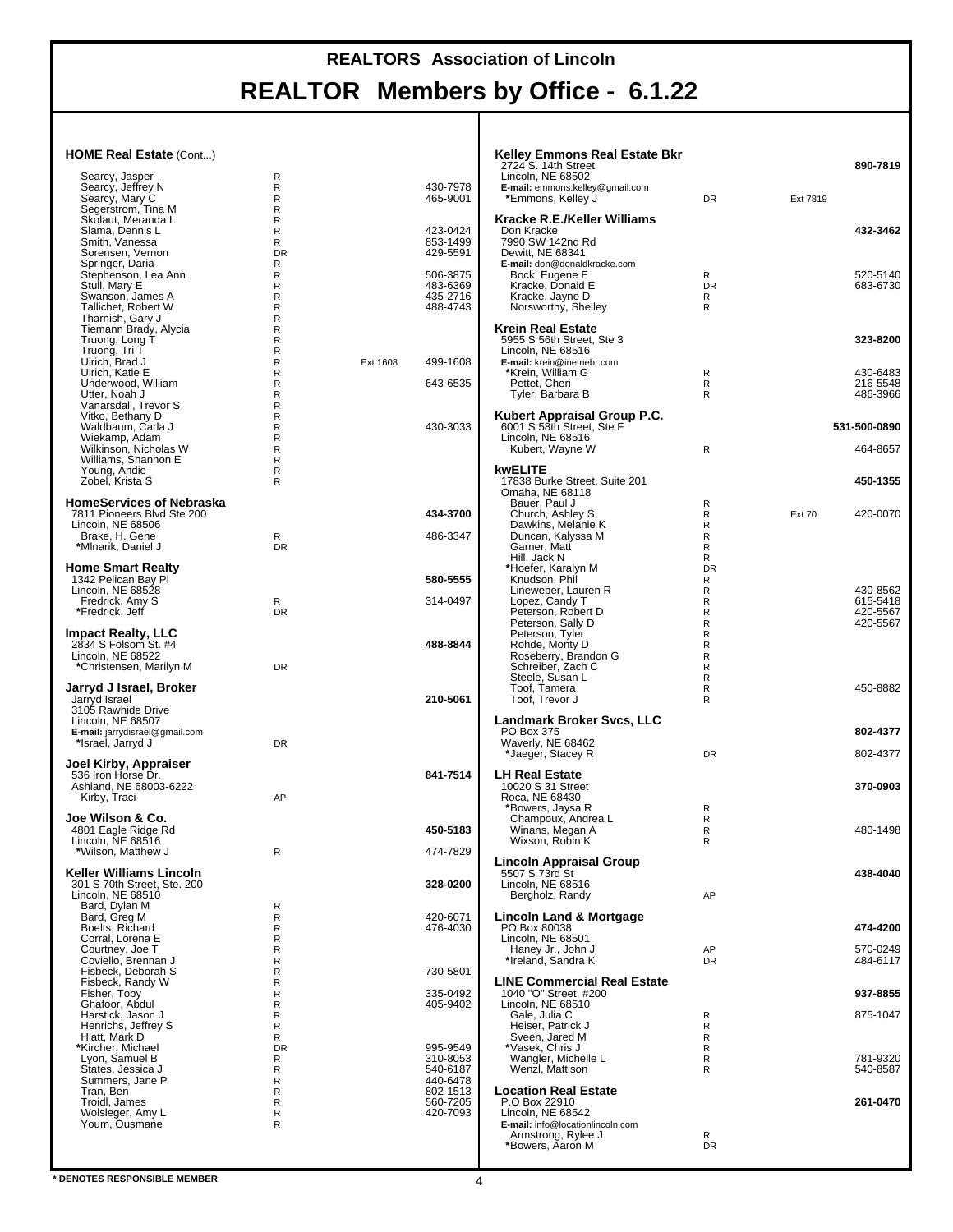| HOME Real Estate (Cont)                             |                              |          |                      | <b>Kelley Emmons Real Estate Bkr</b>                        |                 |               |                      |
|-----------------------------------------------------|------------------------------|----------|----------------------|-------------------------------------------------------------|-----------------|---------------|----------------------|
| Searcy, Jasper                                      | R                            |          |                      | 2724 S. 14th Street<br>Lincoln, NE 68502                    |                 |               | 890-7819             |
| Searcy, Jeffrey N<br>Searcy, Mary C                 | R<br>$\mathsf R$             |          | 430-7978<br>465-9001 | E-mail: emmons.kelley@gmail.com<br>*Emmons, Kelley J        | <b>DR</b>       | Ext 7819      |                      |
| Segerstrom, Tina M                                  | R                            |          |                      |                                                             |                 |               |                      |
| Skolaut, Meranda L<br>Slama, Dennis L               | R<br>$\mathsf R$             |          | 423-0424             | Kracke R.E./Keller Williams<br>Don Kracke                   |                 |               | 432-3462             |
| Smith, Vanessa                                      | R                            |          | 853-1499<br>429-5591 | 7990 SW 142nd Rd<br>Dewitt, NE 68341                        |                 |               |                      |
| Sorensen, Vernon<br>Springer, Daria                 | <b>DR</b><br>R               |          |                      | E-mail: don@donaldkracke.com                                |                 |               |                      |
| Stephenson, Lea Ann<br>Stull, Mary E                | R<br>R                       |          | 506-3875<br>483-6369 | Bock, Eugene E<br>Kracke, Donald E                          | R<br><b>DR</b>  |               | 520-5140<br>683-6730 |
| Swanson, James A                                    | $\mathsf R$                  |          | 435-2716             | Kracke, Jayne D                                             | R               |               |                      |
| Tallichet, Robert W<br>Tharnish, Gary J             | R<br>$\mathsf R$             |          | 488-4743             | Norsworthy, Shelley                                         | R               |               |                      |
| Tiemann Brady, Alycia                               | $\mathsf R$                  |          |                      | <b>Krein Real Estate</b>                                    |                 |               |                      |
| Truong, Long T<br>Truong, Tri T                     | R<br>R                       |          |                      | 5955 S 56th Street, Ste 3<br>Lincoln, NE 68516              |                 |               | 323-8200             |
| Ulrich, Brad J                                      | $\mathsf{R}$<br>R            | Ext 1608 | 499-1608             | E-mail: krein@inetnebr.com<br>*Krein, William G             |                 |               | 430-6483             |
| Ulrich, Katie E<br>Underwood, William               | R                            |          | 643-6535             | Pettet, Cheri                                               | R<br>R          |               | 216-5548             |
| Utter, Noah J<br>Vanarsdall, Trevor S               | $\mathsf R$<br>R             |          |                      | Tyler, Barbara B                                            | R.              |               | 486-3966             |
| Vitko, Bethany D                                    | R                            |          |                      | Kubert Appraisal Group P.C.                                 |                 |               |                      |
| Waldbaum, Carla J<br>Wiekamp, Adam                  | $\mathsf{R}$<br>R            |          | 430-3033             | 6001 S 58th Street, Ste F<br>Lincoln, NE 68516              |                 |               | 531-500-0890         |
| Wilkinson, Nicholas W                               | $\mathsf{R}$<br>$\mathsf{R}$ |          |                      | Kubert, Wayne W                                             | R               |               | 464-8657             |
| Williams, Shannon E<br>Young, Andie                 | R                            |          |                      | kwELITE                                                     |                 |               |                      |
| Zobel, Krista S                                     | R                            |          |                      | 17838 Burke Street, Suite 201<br>Omaha, NE 68118            |                 |               | 450-1355             |
| <b>HomeServices of Nebraska</b>                     |                              |          |                      | Bauer, Paul J                                               | R               |               |                      |
| 7811 Pioneers Blvd Ste 200<br>Lincoln, NE 68506     |                              |          | 434-3700             | Church, Ashley S<br>Dawkins, Melanie K                      | R<br>R          | <b>Ext 70</b> | 420-0070             |
| Brake, H. Gene                                      | R                            |          | 486-3347             | Duncan, Kalyssa M                                           | R               |               |                      |
| *Mlnarik, Daniel J                                  | <b>DR</b>                    |          |                      | Garner, Matt<br>Hill, Jack N                                | R<br>R          |               |                      |
| <b>Home Smart Realty</b><br>1342 Pelican Bay Pl     |                              |          | 580-5555             | *Hoefer, Karalyn M                                          | DR              |               |                      |
| Lincoln, NE 68528                                   |                              |          |                      | Knudson, Phil<br>Lineweber, Lauren R                        | R<br>R          |               | 430-8562             |
| Fredrick, Amy S<br>*Fredrick, Jeff                  | R<br><b>DR</b>               |          | 314-0497             | Lopez, Candy T<br>Peterson, Robert D                        | R<br>R          |               | 615-5418<br>420-5567 |
|                                                     |                              |          |                      | Peterson, Sally D                                           | R               |               | 420-5567             |
| <b>Impact Realty, LLC</b><br>2834 S Folsom St. #4   |                              |          | 488-8844             | Peterson, Tyler<br>Rohde, Monty D                           | R<br>R          |               |                      |
| Lincoln, NE 68522                                   |                              |          |                      | Roseberry, Brandon G                                        | R               |               |                      |
| *Christensen, Marilyn M                             | <b>DR</b>                    |          |                      | Schreiber, Zach C<br>Steele, Susan L                        | R<br>R          |               |                      |
| Jarryd J Israel, Broker<br>Jarryd Israel            |                              |          | 210-5061             | Toof, Tamera<br>Toof, Trevor J                              | R<br>R          |               | 450-8882             |
| 3105 Rawhide Drive                                  |                              |          |                      |                                                             |                 |               |                      |
| Lincoln, NE 68507<br>E-mail: jarrydisrael@gmail.com |                              |          |                      | Landmark Broker Svcs, LLC<br>PO Box 375                     |                 |               | 802-4377             |
| *Israel, Jarryd J                                   | <b>DR</b>                    |          |                      | Waverly, NE 68462                                           |                 |               |                      |
| Joel Kirby, Appraiser                               |                              |          |                      | *Jaeger, Stacey R                                           | <b>DR</b>       |               | 802-4377             |
| 536 Iron Horse Dr.<br>Ashland, NE 68003-6222        |                              |          | 841-7514             | <b>LH Real Estate</b><br>10020 S 31 Street                  |                 |               | 370-0903             |
| Kirby, Traci                                        | AP                           |          |                      | Roca, NE 68430                                              |                 |               |                      |
| Joe Wilson & Co.                                    |                              |          |                      | *Bowers, Jaysa R<br>Champoux, Andrea L                      | R<br>R          |               |                      |
| 4801 Eagle Ridge Rd                                 |                              |          | 450-5183             | Winans, Megan A                                             | R               |               | 480-1498             |
| Lincoln, NE 68516<br>*Wilson, Matthew J             | R                            |          | 474-7829             | Wixson, Robin K                                             | R               |               |                      |
| <b>Keller Williams Lincoln</b>                      |                              |          |                      | Lincoln Appraisal Group<br>5507 S 73rd St                   |                 |               | 438-4040             |
| 301 S 70th Street, Ste. 200                         |                              |          | 328-0200             | Lincoln. NE 68516                                           |                 |               |                      |
| Lincoln, NE 68510<br>Bard, Dylan M                  | R                            |          |                      | Bergholz, Randy                                             | AP              |               |                      |
| Bard, Greg M                                        | $\mathsf R$                  |          | 420-6071             | Lincoln Land & Mortgage                                     |                 |               |                      |
| Boelts, Richard<br>Corral, Lorena E                 | R<br>R                       |          | 476-4030             | PO Box 80038<br>Lincoln, NE 68501                           |                 |               | 474-4200             |
| Courtney, Joe T<br>Coviello, Brennan J              | R<br>R                       |          |                      | Haney Jr., John J<br>*Ireland, Sandra K                     | AP<br><b>DR</b> |               | 570-0249<br>484-6117 |
| Fisbeck, Deborah S                                  | R                            |          | 730-5801             |                                                             |                 |               |                      |
| Fisbeck, Randy W<br>Fisher, Toby                    | $\mathsf R$<br>R             |          | 335-0492             | <b>LINE Commercial Real Estate</b><br>1040 "O" Street, #200 |                 |               | 937-8855             |
| Ghafoor, Abdul                                      | R                            |          | 405-9402             | Lincoln, NE 68510                                           |                 |               |                      |
| Harstick, Jason J<br>Henrichs, Jeffrey S            | $\mathsf R$<br>R             |          |                      | Gale, Julia C<br>Heiser, Patrick J                          | R<br>R          |               | 875-1047             |
| Hiatt, Mark D<br>*Kircher, Michael                  | R<br><b>DR</b>               |          | 995-9549             | Sveen, Jared M<br>*Vasek, Chris J                           | R<br>R          |               |                      |
| Lyon, Samuel B                                      | R                            |          | 310-8053             | Wangler, Michelle L                                         | R               |               | 781-9320             |
| States, Jessica J<br>Summers, Jane P                | R<br>R                       |          | 540-6187<br>440-6478 | Wenzl, Mattison                                             | R               |               | 540-8587             |
| Tran, Ben                                           | R                            |          | 802-1513             | <b>Location Real Estate</b>                                 |                 |               |                      |
| Troidl, James<br>Wolsleger, Amy L                   | R<br>R                       |          | 560-7205<br>420-7093 | P.O Box 22910<br>Lincoln, NE 68542                          |                 |               | 261-0470             |
| Youm, Ousmane                                       | R                            |          |                      | E-mail: info@locationlincoln.com<br>Armstrong, Rylee J      | R               |               |                      |
|                                                     |                              |          |                      | *Bowers, Aaron M                                            | <b>DR</b>       |               |                      |
|                                                     |                              |          |                      |                                                             |                 |               |                      |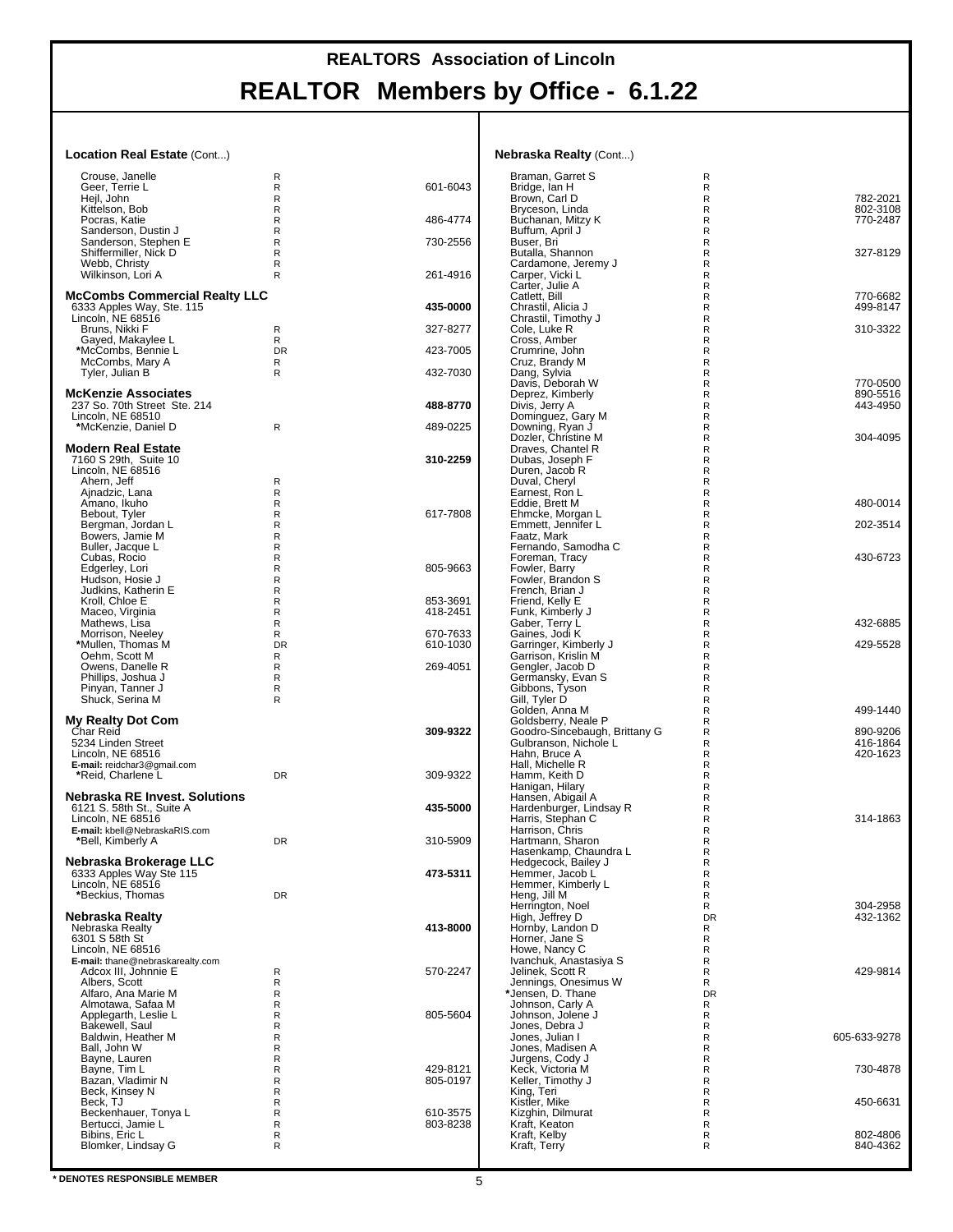#### **Location Real Estate** (Cont...)

| <b>Nebraska Realty (Cont)</b> |  |  |
|-------------------------------|--|--|
|-------------------------------|--|--|

| Crouse, Janelle                                | R            |          | Braman, Garret S                                              | R                            |                      |
|------------------------------------------------|--------------|----------|---------------------------------------------------------------|------------------------------|----------------------|
| Geer. Terrie L                                 | R            | 601-6043 | Bridge, Ian H                                                 | R                            |                      |
| Hejl, John<br>Kittelson, Bob                   | R<br>R       |          | Brown, Carl D<br>Bryceson, Linda                              | $\mathsf{R}$<br>R            | 782-2021<br>802-3108 |
| Pocras, Katie                                  | R            | 486-4774 | Buchanan, Mitzy K                                             | R                            | 770-2487             |
| Sanderson, Dustin J                            | R            |          | Buffum, April J                                               | $\mathsf{R}$                 |                      |
| Sanderson, Stephen E                           | R            | 730-2556 | Buser, Bri                                                    | R                            |                      |
| Shiffermiller, Nick D                          | R            |          | Butalla, Shannon                                              | R                            | 327-8129             |
| Webb, Christy                                  | R            |          | Cardamone, Jeremy J                                           | $\mathsf{R}$                 |                      |
| Wilkinson, Lori A                              | R            | 261-4916 | Carper, Vicki L                                               | $\mathsf{R}$                 |                      |
|                                                |              |          | Carter, Julie A                                               | R                            |                      |
| <b>McCombs Commercial Realty LLC</b>           |              | 435-0000 | Catlett, Bill                                                 | R                            | 770-6682             |
| 6333 Apples Way, Ste. 115<br>Lincoln, NE 68516 |              |          | Chrastil, Alicia J<br>Chrastil, Timothy J                     | $\mathsf{R}$<br>R            | 499-8147             |
| Bruns, Nikki F                                 | R            | 327-8277 | Cole, Luke R                                                  | $\mathsf{R}$                 | 310-3322             |
| Gayed, Makaylee L                              | R            |          | Cross, Amber                                                  | $\mathsf{R}$                 |                      |
| *McCombs, Bennie L                             | DR           | 423-7005 | Crumrine, John                                                | R                            |                      |
| McCombs, Mary A                                | R            |          | Cruz, Brandy M                                                | R                            |                      |
| Tyler, Julian B                                | R            | 432-7030 | Dang, Sylvia                                                  | R                            |                      |
|                                                |              |          | Davis. Deborah W                                              | R                            | 770-0500             |
| <b>McKenzie Associates</b>                     |              |          | Deprez, Kimberly                                              | $\mathsf{R}$                 | 890-5516             |
| 237 So. 70th Street Ste. 214                   |              | 488-8770 | Divis, Jerry A                                                | $\mathsf{R}$                 | 443-4950             |
| Lincoln, NE 68510                              |              |          | Dominguez, Gary M                                             | R                            |                      |
| *McKenzie, Daniel D                            | $\mathsf{R}$ | 489-0225 | Downing, Ryan J<br>Dozler, Christine M                        | $\mathsf{R}$<br>$\mathsf{R}$ | 304-4095             |
| <b>Modern Real Estate</b>                      |              |          | Draves, Chantel R                                             | R                            |                      |
| 7160 S 29th, Suite 10                          |              | 310-2259 | Dubas, Joseph F                                               | $\mathsf{R}$                 |                      |
| Lincoln, NE 68516                              |              |          | Duren, Jacob R                                                | $\mathsf{R}$                 |                      |
| Ahern, Jeff                                    | R            |          | Duval, Cheryl                                                 | R                            |                      |
| Ajnadzic, Lana                                 | R            |          | Earnest, Ron L                                                | R                            |                      |
| Amano, Ikuho                                   | R            |          | Eddie, Brett M                                                | R                            | 480-0014             |
| Bebout, Tyler                                  | R            | 617-7808 | Ehmcke, Morgan L                                              | R                            |                      |
| Bergman, Jordan L                              | R            |          | Emmett, Jennifer L                                            | $\mathsf{R}$                 | 202-3514             |
| Bowers, Jamie M                                | R            |          | Faatz. Mark                                                   | $\mathsf{R}$                 |                      |
| Buller, Jacque L                               | R            |          | Fernando, Samodha C                                           | $\mathsf{R}$                 | 430-6723             |
| Cubas, Rocio<br>Edgerley, Lori                 | R<br>R       | 805-9663 | Foreman, Tracy<br>Fowler, Barry                               | $\mathsf{R}$<br>R            |                      |
| Hudson, Hosie J                                | R            |          | Fowler, Brandon S                                             | $\mathsf{R}$                 |                      |
| Judkins, Katherin E                            | R            |          | French, Brian J                                               | $\mathsf{R}$                 |                      |
| Kroll, Chloe E                                 | R            | 853-3691 | Friend, Kelly E                                               | $\mathsf{R}$                 |                      |
| Maceo, Virginia                                | R            | 418-2451 | Funk, Kimberly J                                              | R                            |                      |
| Mathews, Lisa                                  | R            |          | Gaber, Terry L                                                | $\mathsf{R}$                 | 432-6885             |
| Morrison, Neeley                               | R            | 670-7633 | Gaines, Jodi K                                                | R                            |                      |
| *Mullen, Thomas M                              | <b>DR</b>    | 610-1030 | Garringer, Kimberly J                                         | $\mathsf{R}$                 | 429-5528             |
| Oehm, Scott M                                  | R            |          | Garrison, Krislin M                                           | $\mathsf{R}$                 |                      |
| Owens, Danelle R                               | R            | 269-4051 | Gengler, Jacob D                                              | $\mathsf{R}$                 |                      |
| Phillips, Joshua J                             | R            |          | Germansky, Evan S                                             | R                            |                      |
| Pinyan, Tanner J                               | R            |          | Gibbons, Tyson                                                | $\mathsf{R}$                 |                      |
| Shuck, Serina M                                | R            |          | Gill, Tyler D<br>Golden, Anna M                               | R<br>$\mathsf{R}$            | 499-1440             |
| <b>My Realty Dot Com</b>                       |              |          | Goldsberry, Neale P                                           | $\mathsf{R}$                 |                      |
| Char Reid                                      |              | 309-9322 | Goodro-Sincebaugh, Brittany G                                 | $\mathsf{R}$                 | 890-9206             |
| 5234 Linden Street                             |              |          | Gulbranson, Nichole L                                         | R                            | 416-1864             |
| Lincoln, NE 68516                              |              |          | Hahn, Bruce A                                                 | $\mathsf{R}$                 | 420-1623             |
| E-mail: reidchar3@gmail.com                    |              |          | Hall, Michelle R                                              | R                            |                      |
| *Reid, Charlene L                              | DR           | 309-9322 | Hamm, Keith D                                                 | $\mathsf{R}$                 |                      |
|                                                |              |          | Hanigan, Hilary                                               | $\mathsf{R}$                 |                      |
| Nebraska RE Invest, Solutions                  |              |          | Hansen, Abigail A                                             | $\mathsf{R}$                 |                      |
| 6121 S. 58th St., Suite A                      |              | 435-5000 |                                                               |                              |                      |
| Lincoln, NE 68516                              |              |          | Hardenburger, Lindsay R                                       | R                            |                      |
| E-mail: kbell@NebraskaRIS.com                  |              |          | Harris, Stephan C                                             | R                            | 314-1863             |
|                                                |              |          | Harrison, Chris                                               | R                            |                      |
| *Bell, Kimberly A                              | DR           | 310-5909 | Hartmann, Sharon                                              | R                            |                      |
|                                                |              |          | Hasenkamp, Chaundra L                                         | $\mathsf{R}$                 |                      |
| Nebraska Brokerage LLC                         |              |          | Hedgecock, Bailey J                                           | R                            |                      |
| 6333 Apples Way Ste 115                        |              | 473-5311 | Hemmer, Jacob L                                               | R<br>$\mathsf{R}$            |                      |
| Lincoln, NE 68516<br>*Beckius, Thomas          | <b>DR</b>    |          | Hemmer, Kimberly L<br>Heng, Jill M                            | R                            |                      |
|                                                |              |          | Herrington, Noel                                              | R                            | 304-2958             |
| Nebraska Realty                                |              |          | High, Jeffrey D                                               | DR                           | 432-1362             |
| Nebraska Realty                                |              | 413-8000 | Hornby, Landon D                                              | R                            |                      |
| 6301 S 58th St                                 |              |          | Horner, Jane S                                                | R                            |                      |
| Lincoln, NE 68516                              |              |          | Howe, Nancy C                                                 | R                            |                      |
| E-mail: thane@nebraskarealty.com               |              |          | Ivanchuk, Anastasiya S                                        | R                            |                      |
| Adcox III, Johnnie E                           | R            | 570-2247 | Jelinek, Scott R                                              | R                            | 429-9814             |
| Albers, Scott                                  | R            |          |                                                               | R                            |                      |
| Alfaro, Ana Marie M<br>Almotawa. Safaa M       | R<br>R       |          | Jennings, Onesimus W<br>*Jensen, D. Thane<br>Johnson, Carly A | <b>DR</b><br>R               |                      |
| Applegarth, Leslie L                           | R            | 805-5604 | Johnson, Jolene J                                             | R                            |                      |
| Bakewell, Saul                                 | R            |          | Jones, Debra J                                                | R                            |                      |
| Baldwin, Heather M                             | R            |          | Jones, Julian I                                               | R                            | 605-633-9278         |
| Ball, John W                                   | R            |          | Jones, Madisen A                                              | $\mathsf{R}$                 |                      |
| Bayne, Lauren                                  | R            |          | Jurgens, Cody J                                               | $\mathsf{R}$                 |                      |
| Bayne, Tim L                                   | R            | 429-8121 | Keck, Victoria M                                              | R                            | 730-4878             |
| Bazan, Vladimir N                              | R            | 805-0197 | Keller, Timothy J                                             | R                            |                      |
| Beck, Kinsey N                                 | R            |          | King, Teri                                                    | R                            |                      |
| Beck, TJ                                       | R            |          | Kistler, Mike                                                 | R                            | 450-6631             |
| Beckenhauer, Tonya L                           | R            | 610-3575 | Kizghin, Dilmurat                                             | $\mathsf{R}$                 |                      |
| Bertucci, Jamie L                              | R            | 803-8238 | Kraft, Keaton                                                 | R                            |                      |
| Bibins, Eric L<br>Blomker, Lindsay G           | R<br>R       |          | Kraft, Kelby<br>Kraft, Terry                                  | R<br>R                       | 802-4806<br>840-4362 |
|                                                |              |          |                                                               |                              |                      |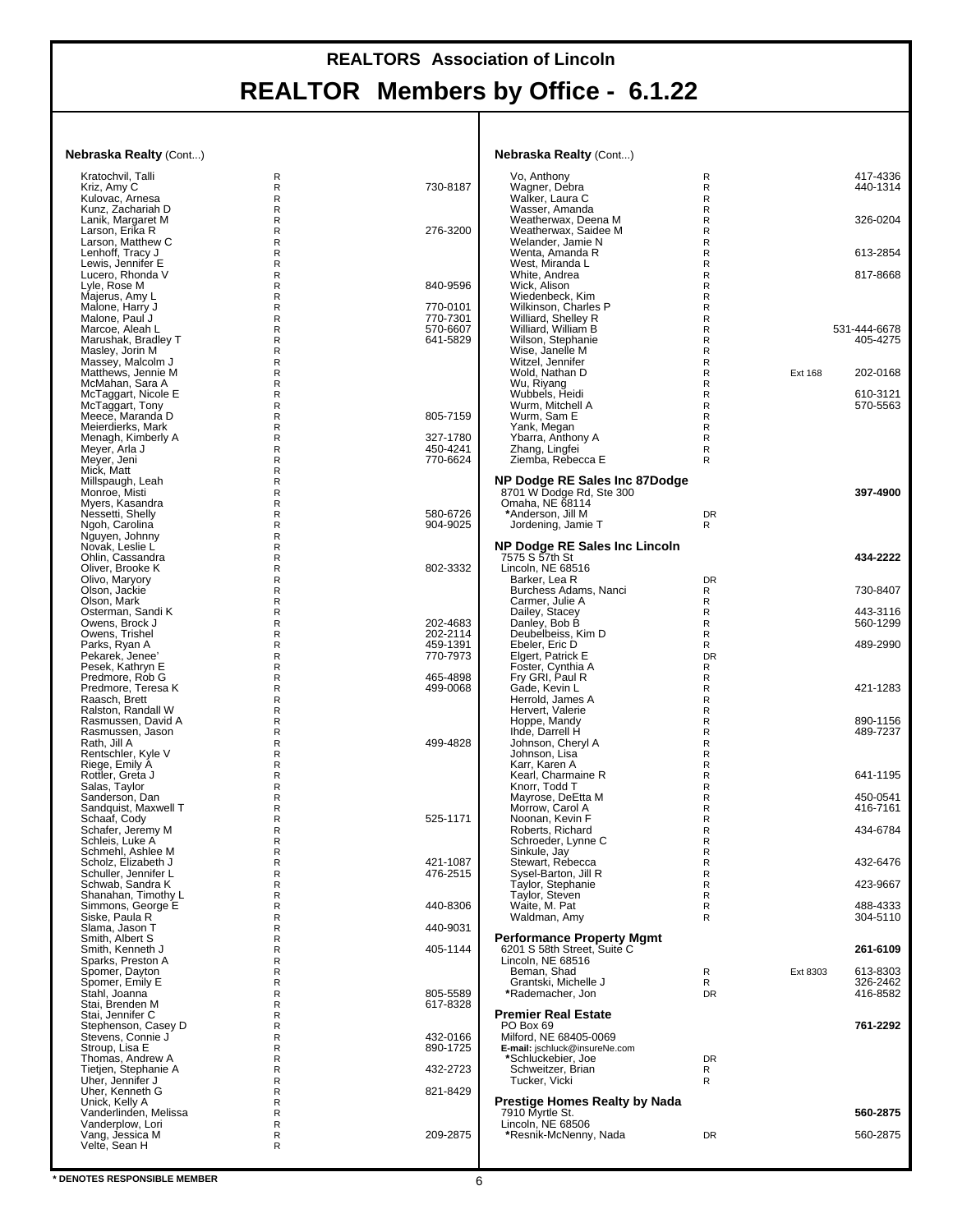#### **Nebraska Realty** (Cont...)

| <b>Nebraska Realty (Cont)</b>               |        |                      | <b>Nebraska Realty (Cont)</b>                                   |                |                          |
|---------------------------------------------|--------|----------------------|-----------------------------------------------------------------|----------------|--------------------------|
| Kratochvil, Talli                           | R      |                      | Vo, Anthony                                                     | R              | 417-4336                 |
| Kriz, Amy C<br>Kulovac, Arnesa              | R<br>R | 730-8187             | Wagner, Debra<br>Walker, Laura C                                | R<br>R         | 440-1314                 |
| Kunz, Zachariah D                           | R      |                      | Wasser, Amanda                                                  | R              |                          |
| Lanik, Margaret M<br>Larson, Erika R        | R<br>R | 276-3200             | Weatherwax, Deena M<br>Weatherwax, Saidee M                     | R<br>R         | 326-0204                 |
| Larson, Matthew C                           | R      |                      | Welander, Jamie N                                               | R              |                          |
| Lenhoff, Tracy J<br>Lewis, Jennifer E       | R<br>R |                      | Wenta, Amanda R<br>West, Miranda L                              | R<br>R         | 613-2854                 |
| Lucero, Rhonda V                            | R      |                      | White, Andrea                                                   | R              | 817-8668                 |
| Lyle, Rose M                                | R      | 840-9596             | Wick, Alison                                                    | R              |                          |
| Majerus, Amy L<br>Malone, Harry J           | R<br>R | 770-0101             | Wiedenbeck, Kim<br>Wilkinson, Charles P                         | R<br>R         |                          |
| Malone, Paul J                              | R      | 770-7301             | Williard, Shelley R                                             | R              |                          |
| Marcoe, Aleah L<br>Marushak, Bradley T      | R<br>R | 570-6607<br>641-5829 | Williard, William B<br>Wilson, Stephanie                        | R<br>R         | 531-444-6678<br>405-4275 |
| Masley, Jorin M                             | R      |                      | Wise, Janelle M                                                 | R              |                          |
| Massey, Malcolm J                           | R      |                      | Witzel, Jennifer                                                | R              |                          |
| Matthews, Jennie M<br>McMahan, Sara A       | R<br>R |                      | Wold, Nathan D<br>Wu, Riyang                                    | R<br>R         | Ext 168<br>202-0168      |
| McTaggart, Nicole E                         | R      |                      | Wubbels, Heidi                                                  | R              | 610-3121                 |
| McTaggart, Tony<br>Meece, Maranda D         | R<br>R | 805-7159             | Wurm, Mitchell A<br>Wurm, Sam E                                 | R<br>R         | 570-5563                 |
| Meierdierks, Mark                           | R      |                      | Yank, Megan                                                     | R              |                          |
| Menagh, Kimberly A                          | R      | 327-1780             | Ybarra, Anthony A                                               | R              |                          |
| Meyer, Arla J<br>Meyer, Jeni                | R<br>R | 450-4241<br>770-6624 | Zhang, Lingfei<br>Ziemba, Rebecca E                             | R<br>R         |                          |
| Mick, Matt                                  | R      |                      |                                                                 |                |                          |
| Millspaugh, Leah<br>Monroe, Misti           | R<br>R |                      | NP Dodge RE Sales Inc 87Dodge<br>8701 W Dodge Rd, Ste 300       |                | 397-4900                 |
| Myers, Kasandra                             | R      |                      | Omaha, NE 68114                                                 |                |                          |
| Nessetti, Shelly                            | R      | 580-6726             | *Anderson, Jill M                                               | <b>DR</b>      |                          |
| Ngoh, Carolina<br>Nguyen, Johnny            | R<br>R | 904-9025             | Jordening, Jamie T                                              | R              |                          |
| Novak, Leslie L                             | R      |                      | <b>NP Dodge RE Sales Inc Lincoln</b>                            |                |                          |
| Ohlin, Cassandra<br>Oliver, Brooke K        | R<br>R | 802-3332             | 7575 S 57th St<br>Lincoln, NE 68516                             |                | 434-2222                 |
| Olivo, Maryory                              | R      |                      | Barker, Lea R                                                   | <b>DR</b>      |                          |
| Olson, Jackie                               | R      |                      | Burchess Adams, Nanci                                           | R              | 730-8407                 |
| Olson, Mark<br>Osterman, Sandi K            | R<br>R |                      | Carmer, Julie A<br>Dailey, Stacey                               | R<br>R         | 443-3116                 |
| Owens, Brock J                              | R      | 202-4683             | Danley, Bob B                                                   | R              | 560-1299                 |
| Owens, Trishel<br>Parks, Ryan A             | R<br>R | 202-2114<br>459-1391 | Deubelbeiss, Kim D<br>Ebeler, Eric D                            | R<br>R         | 489-2990                 |
| Pekarek, Jenee'                             | R      | 770-7973             | Elgert, Patrick E                                               | DR             |                          |
| Pesek, Kathryn E                            | R      |                      | Foster, Cynthia A                                               | R              |                          |
| Predmore, Rob G<br>Predmore, Teresa K       | R<br>R | 465-4898<br>499-0068 | Fry GRI, Paul R<br>Gade, Kevin L                                | R<br>R         | 421-1283                 |
| Raasch, Brett                               | R      |                      | Herrold, James A                                                | R              |                          |
| Ralston, Randall W<br>Rasmussen, David A    | R<br>R |                      | Hervert, Valerie<br>Hoppe, Mandy                                | R<br>R         | 890-1156                 |
| Rasmussen, Jason                            | R      |                      | Ihde, Darrell H                                                 | R              | 489-7237                 |
| Rath, Jill A                                | R      | 499-4828             | Johnson, Cheryl A                                               | R              |                          |
| Rentschler, Kyle V<br>Riege, Emily A        | R<br>R |                      | Johnson, Lisa<br>Karr, Karen A                                  | R<br>R         |                          |
| Rottler, Greta J                            | R      |                      | Kearl, Charmaine R                                              | R              | 641-1195                 |
| Salas, Taylor<br>Sanderson, Dan             | R<br>R |                      | Knorr, Todd T<br>Mayrose, DeEtta M                              | R<br>R         | 450-0541                 |
| Sandquist, Maxwell T                        | R      |                      | Morrow, Carol A                                                 | R              | 416-7161                 |
| Schaaf, Cody                                | R      | 525-1171             | Noonan, Kevin F                                                 | R              |                          |
| Schafer, Jeremy M<br>Schleis, Luke A        | R<br>R |                      | Roberts, Richard<br>Schroeder, Lynne C                          | R<br>R         | 434-6784                 |
| Schmehl, Ashlee M                           | R      |                      | Sinkule, Jay                                                    | $\mathsf R$    |                          |
| Scholz, Elizabeth J<br>Schuller, Jennifer L | R<br>R | 421-1087<br>476-2515 | Stewart, Rebecca<br>Sysel-Barton, Jill R                        | R<br>R         | 432-6476                 |
| Schwab, Sandra K                            | R      |                      | Taylor, Stephanie<br>Taylor, Steven                             | R              | 423-9667                 |
| Shanahan, Timothy L                         | R      | 440-8306             |                                                                 | R              |                          |
| Simmons, George E<br>Siske, Paula R         | R<br>R |                      | Waite, M. Pat<br>Waldman, Amy                                   | R<br>R         | 488-4333<br>304-5110     |
| Slama, Jason T                              | R      | 440-9031             |                                                                 |                |                          |
| Smith, Albert S<br>Smith, Kenneth J         | R<br>R | 405-1144             | <b>Performance Property Mgmt</b><br>6201 S 58th Street, Suite C |                | 261-6109                 |
| Sparks, Preston A                           | R      |                      | Lincoln, NE 68516                                               |                |                          |
| Spomer, Dayton                              | R      |                      | Beman, Shad                                                     | R              | 613-8303<br>Ext 8303     |
| Spomer, Emily E<br>Stahl, Joanna            | R<br>R | 805-5589             | Grantski, Michelle J<br>*Rademacher, Jon                        | R<br><b>DR</b> | 326-2462<br>416-8582     |
| Stai, Brenden M                             | R      | 617-8328             |                                                                 |                |                          |
| Stai, Jennifer C<br>Stephenson, Casey D     | R<br>R |                      | <b>Premier Real Estate</b><br>PO Box 69                         |                | 761-2292                 |
| Stevens, Connie J                           | R      | 432-0166             | Milford, NE 68405-0069                                          |                |                          |
| Stroup, Lisa E                              | R      | 890-1725             | E-mail: jschluck@insureNe.com                                   |                |                          |
| Thomas, Andrew A<br>Tietjen, Stephanie A    | R<br>R | 432-2723             | *Schluckebier, Joe<br>Schweitzer, Brian                         | <b>DR</b><br>R |                          |
| Uher, Jennifer J                            | R      |                      | Tucker, Vicki                                                   | R              |                          |
| Uher, Kenneth G<br>Unick, Kelly A           | R<br>R | 821-8429             | <b>Prestige Homes Realty by Nada</b>                            |                |                          |
| Vanderlinden, Melissa                       | R      |                      | 7910 Myrtle St.                                                 |                | 560-2875                 |
| Vanderplow, Lori<br>Vang, Jessica M         | R      |                      | Lincoln, NE 68506                                               |                |                          |
| Velte, Sean H                               | R<br>R | 209-2875             | *Resnik-McNenny, Nada                                           | <b>DR</b>      | 560-2875                 |
|                                             |        |                      |                                                                 |                |                          |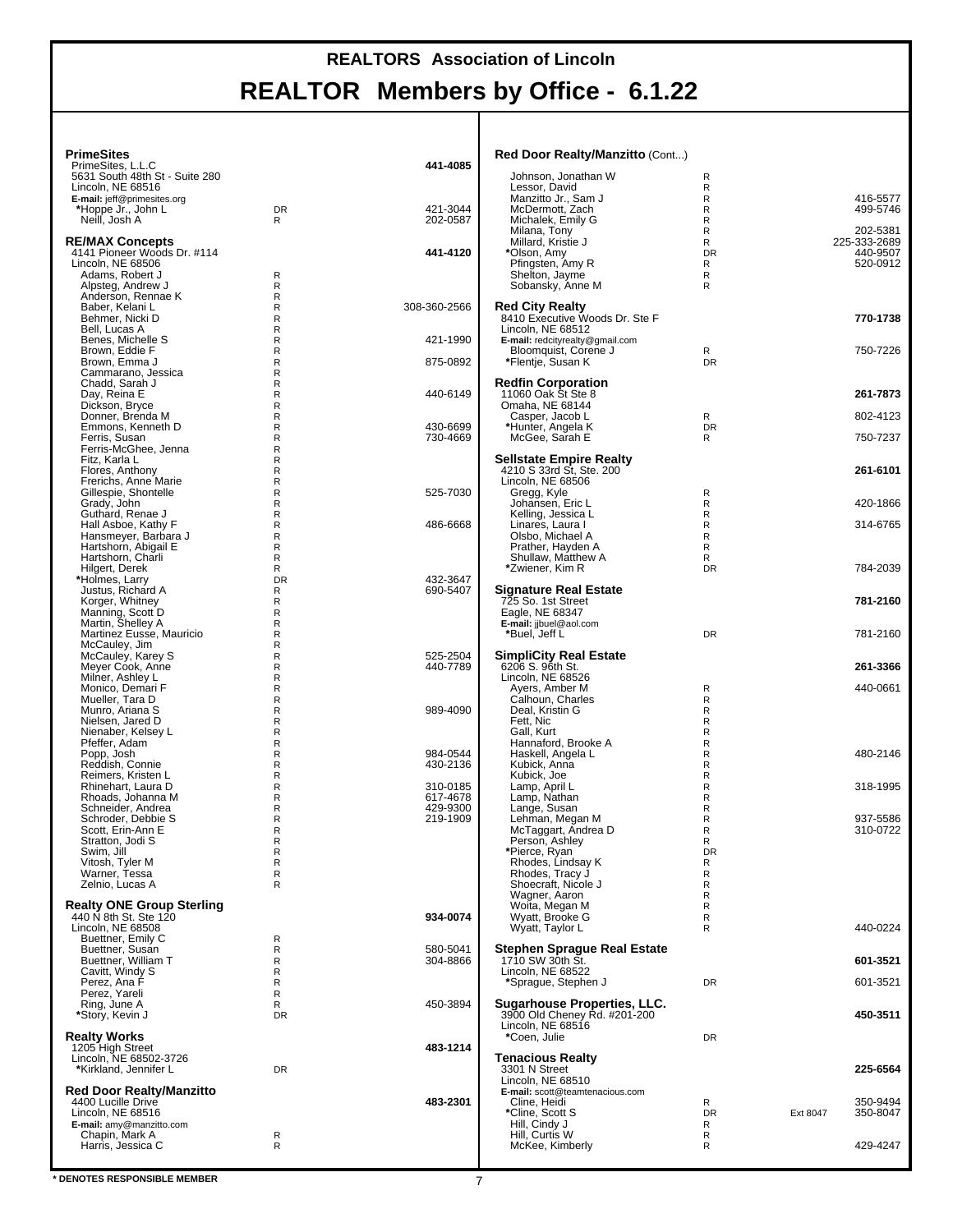| <b>PrimeSites</b>                                         |                  |                      | Red Door Realty/Manzitto (Cont)                                    |                |          |                          |
|-----------------------------------------------------------|------------------|----------------------|--------------------------------------------------------------------|----------------|----------|--------------------------|
| PrimeSites, L.L.C<br>5631 South 48th St - Suite 280       |                  | 441-4085             | Johnson, Jonathan W                                                | R              |          |                          |
| Lincoln. NE 68516                                         |                  |                      | Lessor. David                                                      | R              |          |                          |
| E-mail: jeff@primesites.org<br>*Hoppe Jr., John L         | <b>DR</b>        | 421-3044             | Manzitto Jr., Sam J<br>McDermott, Zach                             | R<br>R         |          | 416-5577<br>499-5746     |
| Neill, Josh A                                             | R                | 202-0587             | Michalek, Emily G                                                  | R              |          |                          |
| <b>RE/MAX Concepts</b>                                    |                  |                      | Milana, Tony<br>Millard, Kristie J                                 | R<br>R         |          | 202-5381<br>225-333-2689 |
| 4141 Pioneer Woods Dr. #114                               |                  | 441-4120             | *Olson, Amy                                                        | DR             |          | 440-9507                 |
| Lincoln, NE 68506<br>Adams, Robert J                      | R                |                      | Pfingsten, Amy R<br>Shelton, Jayme                                 | R<br>R         |          | 520-0912                 |
| Alpsteg, Andrew J                                         | R                |                      | Sobansky, Anne M                                                   | R              |          |                          |
| Anderson, Rennae K<br>Baber, Kelani L                     | R<br>R           | 308-360-2566         | <b>Red City Realty</b>                                             |                |          |                          |
| Behmer, Nicki D                                           | R                |                      | 8410 Executive Woods Dr. Ste F                                     |                |          | 770-1738                 |
| Bell, Lucas A<br>Benes, Michelle S                        | R<br>R           | 421-1990             | Lincoln, NE 68512<br>E-mail: redcityrealty@gmail.com               |                |          |                          |
| Brown, Eddie F                                            | R                |                      | Bloomquist, Corene J                                               | R              |          | 750-7226                 |
| Brown, Emma J<br>Cammarano, Jessica                       | R<br>R           | 875-0892             | *Flentje, Susan K                                                  | <b>DR</b>      |          |                          |
| Chadd, Sarah J                                            | R                |                      | <b>Redfin Corporation</b>                                          |                |          |                          |
| Day, Reina E<br>Dickson, Bryce                            | R<br>R           | 440-6149             | 11060 Oak St Ste 8<br>Omaha, NE 68144                              |                |          | 261-7873                 |
| Donner, Brenda M                                          | R                |                      | Casper, Jacob L                                                    | R              |          | 802-4123                 |
| Emmons, Kenneth D<br>Ferris, Susan                        | R<br>R           | 430-6699<br>730-4669 | *Hunter, Angela K<br>McGee, Sarah E                                | <b>DR</b><br>R |          | 750-7237                 |
| Ferris-McGhee, Jenna                                      | R                |                      |                                                                    |                |          |                          |
| Fitz, Karla L<br>Flores, Anthony                          | R<br>R           |                      | <b>Sellstate Empire Realty</b><br>4210 S 33rd St, Ste. 200         |                |          | 261-6101                 |
| Frerichs, Anne Marie                                      | R                |                      | Lincoln, NE 68506                                                  |                |          |                          |
| Gillespie, Shontelle<br>Grady, John                       | R<br>R           | 525-7030             | Gregg, Kyle<br>Johansen, Eric L                                    | R<br>R         |          | 420-1866                 |
| Guthard, Renae J                                          | R                |                      | Kelling, Jessica L                                                 | R              |          |                          |
| Hall Asboe, Kathy F<br>Hansmeyer, Barbara J               | R<br>R           | 486-6668             | Linares, Laura I<br>Olsbo, Michael A                               | R<br>R         |          | 314-6765                 |
| Hartshorn, Abigail E                                      | R                |                      | Prather, Hayden A                                                  | R              |          |                          |
| Hartshorn, Charli<br>Hilgert, Derek                       | R<br>R           |                      | Shullaw, Matthew A<br>*Zwiener, Kim R                              | R<br><b>DR</b> |          | 784-2039                 |
| *Holmes, Larry                                            | DR               | 432-3647             |                                                                    |                |          |                          |
| Justus, Richard A<br>Korger, Whitney                      | R<br>R           | 690-5407             | Signature Real Estate<br>725 So. 1st Street                        |                |          | 781-2160                 |
| Manning, Scott D                                          | R                |                      | Eagle, NE 68347                                                    |                |          |                          |
| Martin, Shelley A<br>Martinez Eusse, Mauricio             | R<br>R           |                      | E-mail: jjbuel@aol.com<br>*Buel, Jeff L                            | <b>DR</b>      |          | 781-2160                 |
| McCauley, Jim                                             | R                |                      |                                                                    |                |          |                          |
| McCauley, Karey S<br>Meyer Cook, Anne                     | R<br>R           | 525-2504<br>440-7789 | <b>SimpliCity Real Estate</b><br>6206 S. 96th St.                  |                |          | 261-3366                 |
| Milner, Ashley L                                          | R                |                      | Lincoln, NE 68526                                                  |                |          |                          |
| Monico, Demari F<br>Mueller, Tara D                       | R<br>R           |                      | Ayers, Amber M<br>Calhoun, Charles                                 | R<br>R         |          | 440-0661                 |
| Munro, Ariana S                                           | R                | 989-4090             | Deal, Kristin G                                                    | R              |          |                          |
| Nielsen, Jared D<br>Nienaber, Kelsey L                    | R<br>R           |                      | Fett, Nic<br>Gall, Kurt                                            | R<br>R         |          |                          |
| Pfeffer, Adam                                             | R                |                      | Hannaford, Brooke A                                                | R              |          |                          |
| Popp, Josh<br>Reddish, Connie                             | R<br>$\mathsf R$ | 984-0544<br>430-2136 | Haskell, Angela L<br>Kubick, Anna                                  | R<br>R         |          | 480-2146                 |
| Reimers, Kristen L                                        | R                |                      | Kubick, Joe                                                        | R              |          |                          |
| Rhinehart, Laura D<br>Rhoads. Johanna M                   | R<br>R           | 310-0185<br>617-4678 | Lamp, April L<br>Lamp, Nathan                                      | R<br>R         |          | 318-1995                 |
| Schneider, Andrea                                         | R                | 429-9300             | Lange, Susan                                                       | R              |          |                          |
| Schroder, Debbie S<br>Scott, Erin-Ann E                   | R<br>R           | 219-1909             | Lehman, Megan M<br>McTaggart, Andrea D                             | R<br>R         |          | 937-5586<br>310-0722     |
| Stratton, Jodi S                                          | R                |                      | Person, Ashley                                                     | R              |          |                          |
| Swim, Jill<br>Vitosh, Tyler M                             | R<br>R           |                      | *Pierce, Ryan<br>Rhodes, Lindsay K                                 | <b>DR</b><br>R |          |                          |
| Warner, Tessa                                             | R                |                      | Rhodes, Tracy J                                                    | R              |          |                          |
| Zelnio, Lucas A                                           | R                |                      | Shoecraft, Nicole J<br>Wagner, Aaron                               | R<br>R         |          |                          |
| <b>Realty ONE Group Sterling</b><br>440 N 8th St. Ste 120 |                  | 934-0074             | Woita, Megan M                                                     | R              |          |                          |
| Lincoln. NE 68508                                         |                  |                      | Wyatt, Brooke G<br>Wyatt, Taylor L                                 | R<br>R         |          | 440-0224                 |
| Buettner, Emily C                                         | R<br>R           | 580-5041             | <b>Stephen Sprague Real Estate</b>                                 |                |          |                          |
| Buettner, Susan<br>Buettner, William T                    | R                | 304-8866             | 1710 SW 30th St.                                                   |                |          | 601-3521                 |
| Cavitt, Windy S<br>Perez, Ana F                           | R<br>R           |                      | Lincoln. NE 68522<br>*Sprague, Stephen J                           | DR             |          | 601-3521                 |
| Perez, Yareli                                             | R                |                      |                                                                    |                |          |                          |
| Ring, June A<br>*Story, Kevin J                           | R<br>DR          | 450-3894             | <b>Sugarhouse Properties, LLC.</b><br>3900 Old Cheney Rd. #201-200 |                |          | 450-3511                 |
|                                                           |                  |                      | Lincoln, NE 68516                                                  |                |          |                          |
| <b>Realty Works</b><br>1205 High Street                   |                  | 483-1214             | *Coen, Julie                                                       | DR             |          |                          |
| Lincoln, NE 68502-3726                                    |                  |                      | <b>Tenacious Realty</b>                                            |                |          |                          |
| *Kirkland, Jennifer L                                     | DR               |                      | 3301 N Street<br>Lincoln, NE 68510                                 |                |          | 225-6564                 |
| <b>Red Door Realty/Manzitto</b>                           |                  |                      | E-mail: scott@teamtenacious.com                                    |                |          |                          |
| 4400 Lucille Drive<br>Lincoln, NE 68516                   |                  | 483-2301             | Cline, Heidi<br>*Cline, Scott S                                    | R<br><b>DR</b> | Ext 8047 | 350-9494<br>350-8047     |
| E-mail: amy@manzitto.com                                  |                  |                      | Hill, Cindy J                                                      | R              |          |                          |
| Chapin, Mark A<br>Harris, Jessica C                       | R<br>R           |                      | Hill, Curtis W<br>McKee, Kimberly                                  | R<br>R         |          | 429-4247                 |
|                                                           |                  |                      |                                                                    |                |          |                          |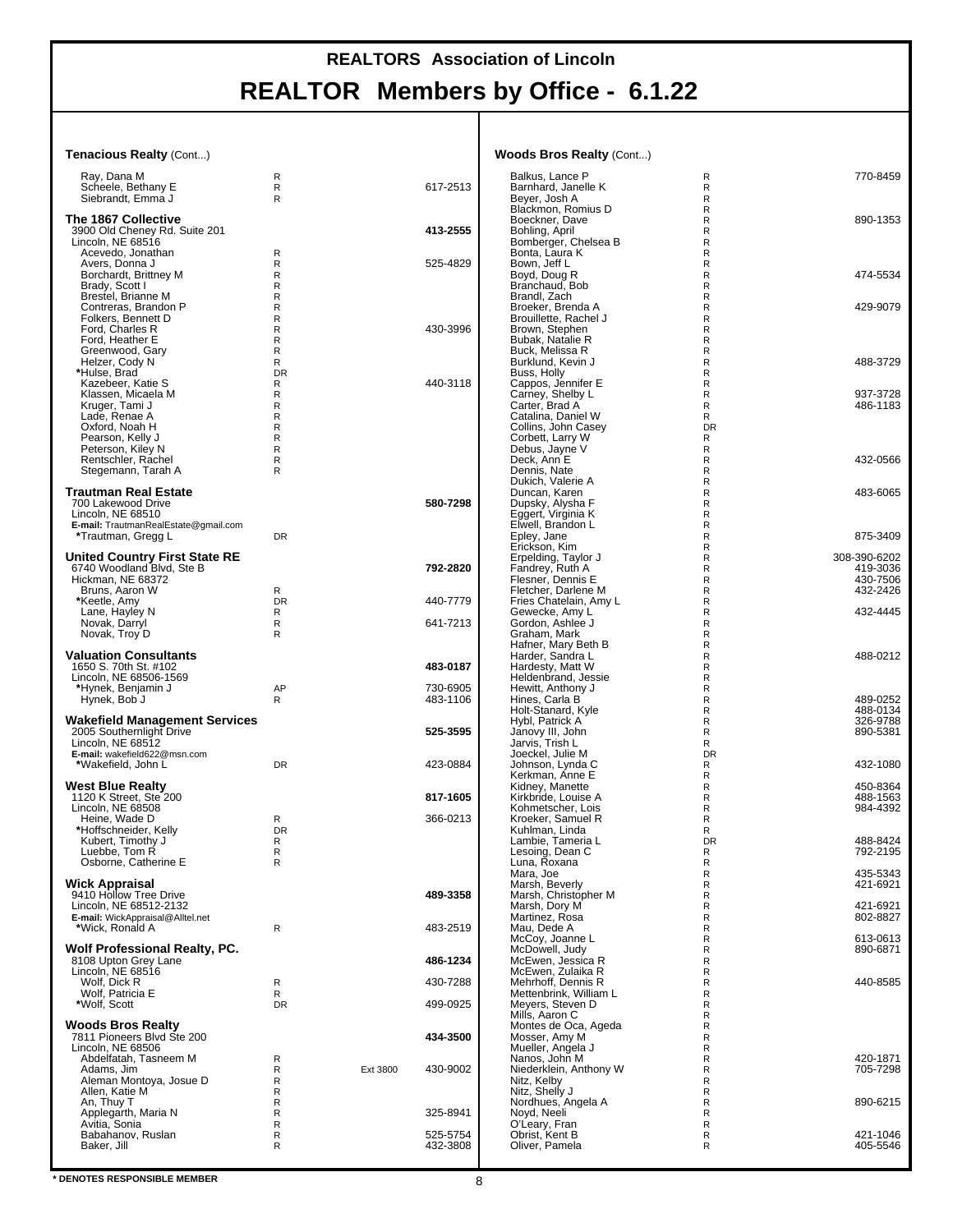#### **Tenacious Realty** (Cont...)

| Ray, Dana M<br>Scheele, Bethany E<br>Siebrandt, Emma J                                                                                                                            | R<br>R<br>R                               |          | 617-2513             |  |
|-----------------------------------------------------------------------------------------------------------------------------------------------------------------------------------|-------------------------------------------|----------|----------------------|--|
| The 1867 Collective<br>3900 Old Cheney Rd. Suite 201<br>Lincoln, NE 68516                                                                                                         |                                           |          | 413-2555             |  |
| Acevedo, Jonathan<br>Avers, Donna J<br>Borchardt, Brittney M<br>Brady, Scott I<br>Brestel, Brianne M<br>Contreras, Brandon P                                                      | R<br>R<br>R<br>R<br>R<br>R                |          | 525-4829             |  |
| Folkers, Bennett D<br>Ford, Charles R<br>Ford, Heather E<br>Greenwood, Gary<br>Helzer, Cody N<br>*Hulse, Brad                                                                     | R<br>R<br>R<br>R<br>R<br><b>DR</b>        |          | 430-3996             |  |
| Kazebeer, Katie S<br>Klassen, Micaela M<br>Kruger, Tami J<br>Lade, Renae A<br>Oxford, Noah H<br>Pearson, Kelly J<br>Peterson, Kiley N<br>Rentschler, Rachel<br>Stegemann, Tarah A | R<br>R<br>R<br>R<br>R<br>R<br>R<br>R<br>R |          | 440-3118             |  |
| Trautman Real Estate<br>700 Lakewood Drive<br>Lincoln, NE 68510<br>E-mail: TrautmanRealEstate@gmail.com<br>*Trautman, Gregg L                                                     | DR                                        |          | 580-7298             |  |
| <b>United Country First State RE</b><br>6740 Woodland Blvd, Ste B                                                                                                                 |                                           |          | 792-2820             |  |
| Hickman, NE 68372<br>Bruns, Aaron W<br>*Keetle, Amy                                                                                                                               | R<br><b>DR</b>                            |          | 440-7779             |  |
| Lane, Hayley N<br>Novak, Darryl<br>Novak, Troy D                                                                                                                                  | R<br>R<br>R                               |          | 641-7213             |  |
| <b>Valuation Consultants</b><br>1650 S. 70th St. #102<br>Lincoln, NE 68506-1569<br>*Hynek, Benjamin J                                                                             | AP                                        |          | 483-0187<br>730-6905 |  |
| Hynek, Bob J                                                                                                                                                                      | R                                         |          | 483-1106             |  |
| <b>Wakefield Management Services</b><br>2005 Southernlight Drive<br>Lincoln, NE 68512<br>E-mail: wakefield622@msn.com<br>*Wakefield, John L                                       | DR                                        |          | 525-3595<br>423-0884 |  |
| West Blue Realty                                                                                                                                                                  |                                           |          |                      |  |
| 1120 K Street, Ste 200<br>Lincoln, NE 68508                                                                                                                                       |                                           |          | 817-1605<br>366-0213 |  |
| Heine, Wade D<br>*Hoffschneider, Kelly<br>Kubert, Timothy J<br>Luebbe, Tom R<br>Osborne, Catherine E                                                                              | R<br><b>DR</b><br>R<br>R<br>R             |          |                      |  |
| Wick Appraisal<br>9410 Hollow Tree Drive<br>Lincoln, NE 68512-2132<br>E-mail: WickAppraisal@Alltel.net                                                                            |                                           |          | 489-3358             |  |
| *Wick, Ronald A<br>Wolf Professional Realty, PC.                                                                                                                                  | R                                         |          | 483-2519             |  |
| 8108 Upton Grey Lane<br>Lincoln, NE 68516                                                                                                                                         |                                           |          | 486-1234             |  |
| Wolf, Dick R<br>Wolf, Patricia E                                                                                                                                                  | R<br>R                                    |          | 430-7288             |  |
| *Wolf. Scott<br><b>Woods Bros Realty</b>                                                                                                                                          | <b>DR</b>                                 |          | 499-0925             |  |
| 7811 Pioneers Blvd Ste 200<br>Lincoln, NE 68506<br>Abdelfatah, Tasneem M                                                                                                          | R                                         |          | 434-3500             |  |
| Adams, Jim<br>Aleman Montoya, Josue D<br>Allen, Katie M                                                                                                                           | R<br>R<br>R                               | Ext 3800 | 430-9002             |  |
| An, Thuy T<br>Applegarth, Maria N                                                                                                                                                 | R<br>R<br>R                               |          | 325-8941             |  |
| Avitia, Sonia<br>Babahanov, Ruslan<br>Baker, Jill                                                                                                                                 | R<br>R                                    |          | 525-5754<br>432-3808 |  |

#### **Woods Bros Realty** (Cont...)

| Balkus, Lance P                              | R       | 770-8459             |
|----------------------------------------------|---------|----------------------|
| Barnhard, Janelle K                          | R       |                      |
| Beyer, Josh A                                | R       |                      |
| Blackmon, Romius D                           | R       |                      |
| Boeckner, Dave<br>Bohling, April             | R<br>R  | 890-1353             |
| Bomberger, Chelsea B                         | R       |                      |
| Bonta, Laura K                               | R       |                      |
| Bown, Jeff L                                 | R       |                      |
| Boyd, Doug R                                 | R       | 474-5534             |
| Branchaud, Bob<br>Brandl, Zach               | R<br>R  |                      |
| Broeker, Brenda A                            | R       | 429-9079             |
| Brouillette, Rachel J                        | R       |                      |
| Brown, Stephen                               | R       |                      |
| Bubak, Natalie R                             | R       |                      |
| Buck, Melissa R                              | R       |                      |
| Burklund, Kevin J<br>Buss, Holly             | R<br>R  | 488-3729             |
| Cappos, Jennifer E                           | R       |                      |
|                                              | R       | 937-3728             |
| Carney, Shelby L<br>Carter, Brad A           | R       | 486-1183             |
| Catalina, Daniel W                           | R       |                      |
| Collins, John Casey                          | DR      |                      |
| Corbett, Larry W<br>Debus, Jayne V           | R<br>R  |                      |
| Deck, Ann E                                  | R       | 432-0566             |
| Dennis, Nate                                 | R       |                      |
| Dukich, Valerie A                            | R       |                      |
| Duncan, Karen                                | R       | 483-6065             |
| Dupsky, Alysha F<br>Eggert, Virginia K       | R<br>R  |                      |
| Elwell, Brandon L                            | R       |                      |
| Epley, Jane                                  | R       | 875-3409             |
| Erickson, Kim                                | R       |                      |
| Erpelding, Taylor J                          | R       | 308-390-6202         |
| Fandrey, Ruth A<br>Flesner, Dennis E         | R<br>R  | 419-3036<br>430-7506 |
| Fletcher. Darlene M                          | R       | 432-2426             |
| Fries Chatelain, Amy L                       | R       |                      |
| Gewecke, Amy L                               | R       | 432-4445             |
| Gordon, Ashlee J                             | R       |                      |
| Graham, Mark<br>Hafner, Mary Beth B          | R<br>R  |                      |
| Harder, Sandra L                             | R       | 488-0212             |
| Hardesty, Matt W                             | R       |                      |
| Heldenbrand, Jessie                          | R       |                      |
| Hewitt, Anthony J                            | R       |                      |
| Hines, Carla B<br>Holt-Stanard, Kyle         | R<br>R  | 489-0252<br>488-0134 |
| Hybl, Patrick A                              | R       | 326-9788             |
| Janovy III, John                             | R       | 890-5381             |
| Jarvis, Trish L                              | R       |                      |
| Joeckel, Julie M                             | DR      |                      |
| Johnson, Lynda C<br>Kerkman, Anne E          | R<br>R  | 432-1080             |
| Kidney, Manette                              | R       | 450-8364             |
| Kirkbride, Louise A                          | R       | 488-1563             |
| Kohmetscher, Lois                            | R       | 984-4392             |
| Kroeker, Samuel R                            | R       |                      |
| Kuhlman, Linda                               | R       |                      |
| Lambie, Tameria L<br>Lesoing, Dean C         | DR<br>R | 488-8424<br>792-2195 |
| Luna, Roxana                                 | R       |                      |
| Mara, Joe                                    | R       | 435-5343             |
| Marsh, Beverly                               | R       | 421-6921             |
| Marsh, Christopher M                         | R       |                      |
| Marsh, Dory M<br>Martinez, Rosa              | R<br>R  | 421-6921<br>802-8827 |
| Mau, Dede A                                  | R       |                      |
| McCoy, Joanne L                              | R       | 613-0613             |
| McDowell, Judy                               | R       | 890-6871             |
| McEwen, Jessica R                            | R       |                      |
| McEwen, Zulaika R                            | R       |                      |
| Mehrhoff, Dennis R<br>Mettenbrink, William L | R<br>R  | 440-8585             |
| Meyers, Steven D                             | R       |                      |
| Mills, Aaron C                               | R       |                      |
| Montes de Oca, Ageda                         | R       |                      |
| Mosser, Amy M                                | R       |                      |
| Mueller, Angela J                            | R<br>R  | 420-1871             |
| Nanos, John M<br>Niederklein, Anthony W      | R       | 705-7298             |
| Nitz, Kelby                                  | R       |                      |
| Nitz, Shelly J                               | R       |                      |
| Nordhues, Angela A                           | R       | 890-6215             |
| Noyd, Neeli                                  | R       |                      |
|                                              |         |                      |
| O'Leary, Fran                                | R<br>R  | 421-1046             |
| Obrist, Kent B<br>Oliver, Pamela             | R       | 405-5546             |
|                                              |         |                      |